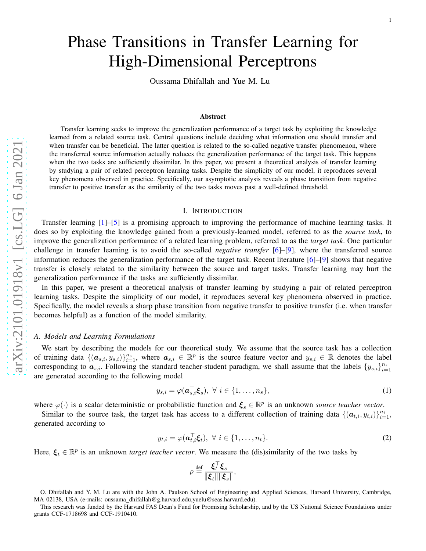# Phase Transitions in Transfer Learning for High-Dimensional Perceptrons

Oussama Dhifallah and Yue M. Lu

#### Abstract

Transfer learning seeks to improve the generalization performance of a target task by exploiting the knowledge learned from a related source task. Central questions include deciding what information one should transfer and when transfer can be beneficial. The latter question is related to the so-called negative transfer phenomenon, where the transferred source information actually reduces the generalization performance of the target task. This happens when the two tasks are sufficiently dissimilar. In this paper, we present a theoretical analysis of transfer learning by studying a pair of related perceptron learning tasks. Despite the simplicity of our model, it reproduces several key phenomena observed in practice. Specifically, our asymptotic analysis reveals a phase transition from negative transfer to positive transfer as the similarity of the two tasks moves past a well-defined threshold.

#### I. INTRODUCTION

Transfer learning [ [1\]](#page-24-0)–[ [5\]](#page-24-1) is a promising approach to improving the performance of machine learning tasks. It does so by exploiting the knowledge gained from a previously-learned model, referred to as the *source task*, to improve the generalization performance of a related learning problem, referred to as the *target task*. One particular challenge in transfer learning is to avoid the so-called *negative transfer* [ [6\]](#page-24-2)–[ [9\]](#page-24-3), where the transferred source information reduces the generalization performance of the target task. Recent literature [ [6\]](#page-24-2)–[ [9\]](#page-24-3) shows that negative transfer is closely related to the similarity between the source and target tasks. Transfer learning may hurt the generalization performance if the tasks are sufficiently dissimilar.

In this paper, we present a theoretical analysis of transfer learning by studying a pair of related perceptron learning tasks. Despite the simplicity of our model, it reproduces several key phenomena observed in practice. Specifically, the model reveals a sharp phase transition from negative transfer to positive transfer (i.e. when transfe r becomes helpful) as a function of the model similarity.

## *A. Models and Learning Formulations*

We start by describing the models for our theoretical study. We assume that the source task has a collection of training data  $\{(\boldsymbol{a}_{s,i}, y_{s,i})\}_{i=1}^{n_s}$ , where  $\boldsymbol{a}_{s,i} \in \mathbb{R}^p$  is the source feature vector and  $y_{s,i} \in \mathbb{R}$  denotes the label corresponding to  $a_{s,i}$ . Following the standard teacher-student paradigm, we shall assume that the labels  $\{y_{s,i}\}_{i=1}^{n_s}$ are generated according to the following model

$$
y_{s,i} = \varphi(\boldsymbol{a}_{s,i}^{\top} \boldsymbol{\xi}_s), \ \forall \ i \in \{1, \dots, n_s\},
$$
\n<sup>(1)</sup>

where  $\varphi(\cdot)$  is a scalar deterministic or probabilistic function and  $\xi_s \in \mathbb{R}^p$  is an unknown *source teacher vector*.

Similar to the source task, the target task has access to a different collection of training data  $\{(a_{t,i}, y_{t,i})\}_{i=1}^{n_t}$ , generated according to

$$
y_{t,i} = \varphi(\mathbf{a}_{t,i}^{\top}\xi_t), \ \forall \ i \in \{1, \dots, n_t\}.
$$

Here,  $\xi_t \in \mathbb{R}^p$  is an unknown *target teacher vector*. We measure the (dis)similarity of the two tasks by

<span id="page-0-1"></span><span id="page-0-0"></span>
$$
\rho \stackrel{\text{def}}{=} \frac{\xi_t^{\top} \xi_s}{\|\xi_t\| \|\xi_s\|},
$$

This research was funded by the Harvard FAS Dean's Fund for Promising Scholarship, and by the US National Science Foundations under grants CCF-1718698 and CCF-1910410.

O. Dhifallah and Y. M. Lu are with the John A. Paulson School of Engineering and Applied Sciences, Harvard University, Cambridge, MA 02138, USA (e-mails: oussama dhifallah@g.harvard.edu,yuelu@seas.harvard.edu).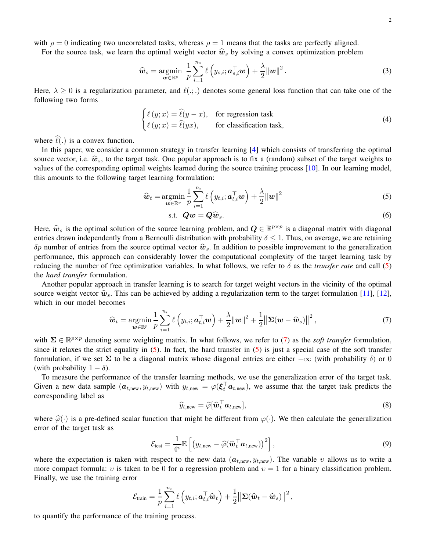For the source task, we learn the optimal weight vector  $\hat{w}_s$  by solving a convex optimization problem

$$
\widehat{\boldsymbol{w}}_s = \underset{\boldsymbol{w} \in \mathbb{R}^p}{\operatorname{argmin}} \ \frac{1}{p} \sum_{i=1}^{n_s} \ell\left(y_{s,i}; \boldsymbol{a}_{s,i}^\top \boldsymbol{w}\right) + \frac{\lambda}{2} ||\boldsymbol{w}||^2. \tag{3}
$$

Here,  $\lambda \geq 0$  is a regularization parameter, and  $\ell(.)$ . denotes some general loss function that can take one of the following two forms

<span id="page-1-4"></span>
$$
\begin{cases} \ell(y; x) = \hat{\ell}(y - x), & \text{for regression task} \\ \ell(y; x) = \hat{\ell}(yx), & \text{for classification task,} \end{cases}
$$
\n(4)

where  $\hat{\ell}(.)$  is a convex function.

In this paper, we consider a common strategy in transfer learning [\[4\]](#page-24-4) which consists of transferring the optimal source vector, i.e.  $\hat{w}_s$ , to the target task. One popular approach is to fix a (random) subset of the target weights to values of the corresponding optimal weights learned during the source training process [\[10\]](#page-24-5). In our learning model, this amounts to the following target learning formulation:

$$
\widehat{\boldsymbol{w}}_t = \operatorname*{argmin}_{\boldsymbol{w} \in \mathbb{R}^p} \frac{1}{p} \sum_{i=1}^{n_t} \ell\left(y_{t,i}; \boldsymbol{a}_{t,i}^\top \boldsymbol{w}\right) + \frac{\lambda}{2} ||\boldsymbol{w}||^2 \tag{5}
$$

<span id="page-1-2"></span><span id="page-1-0"></span>
$$
\text{s.t. } \mathbf{Q}\mathbf{w} = \mathbf{Q}\widehat{\mathbf{w}}_s. \tag{6}
$$

Here,  $\hat{w}_s$  is the optimal solution of the source learning problem, and  $Q \in \mathbb{R}^{p \times p}$  is a diagonal matrix with diagonal extended to the property of the source of the solution of the solution of the solution of the entries drawn independently from a Bernoulli distribution with probability  $\delta \leq 1$ . Thus, on average, we are retaining  $\delta p$  number of entries from the source optimal vector  $\hat{w}_s$ . In addition to possible improvement to the generalization performance, this approach can considerably lower the computational complexity of the target learning task by reducing the number of free optimization variables. In what follows, we refer to  $\delta$  as the *transfer rate* and call [\(5\)](#page-1-0) the *hard transfer* formulation.

Another popular approach in transfer learning is to search for target weight vectors in the vicinity of the optimal source weight vector  $\hat{w}_s$ . This can be achieved by adding a regularization term to the target formulation [\[11\]](#page-24-6), [\[12\]](#page-25-0), which in our model becomes

$$
\widehat{\boldsymbol{w}}_t = \operatorname*{argmin}_{\boldsymbol{w} \in \mathbb{R}^p} \frac{1}{p} \sum_{i=1}^{n_t} \ell\left(y_{t,i}; \boldsymbol{a}_{t,i}^\top \boldsymbol{w}\right) + \frac{\lambda}{2} ||\boldsymbol{w}||^2 + \frac{1}{2} ||\boldsymbol{\Sigma}(\boldsymbol{w} - \widehat{\boldsymbol{w}}_s)||^2, \tag{7}
$$

with  $\Sigma \in \mathbb{R}^{p \times p}$  denoting some weighting matrix. In what follows, we refer to [\(7\)](#page-1-1) as the *soft transfer* formulation, since it relaxes the strict equality in  $(5)$ . In fact, the hard transfer in  $(5)$  is just a special case of the soft transfer formulation, if we set  $\Sigma$  to be a diagonal matrix whose diagonal entries are either  $+\infty$  (with probability  $\delta$ ) or 0 (with probability  $1 - \delta$ ).

To measure the performance of the transfer learning methods, we use the generalization error of the target task. Given a new data sample  $(a_{t,new}, y_{t,new})$  with  $y_{t,new} = \varphi(\xi_t^{\top} a_{t,new})$ , we assume that the target task predicts the corresponding label as

<span id="page-1-5"></span><span id="page-1-3"></span><span id="page-1-1"></span>
$$
\widehat{y}_{t,\text{new}} = \widehat{\varphi}[\widehat{\boldsymbol{w}}_t^\top \boldsymbol{a}_{t,\text{new}}],\tag{8}
$$

where  $\hat{\varphi}(\cdot)$  is a pre-defined scalar function that might be different from  $\varphi(\cdot)$ . We then calculate the generalization error of the target task as

$$
\mathcal{E}_{\text{test}} = \frac{1}{4v} \mathbb{E} \left[ \left( y_{t,\text{new}} - \widehat{\varphi}(\widehat{\boldsymbol{w}}_t^\top \boldsymbol{a}_{t,\text{new}}) \right)^2 \right],
$$
\n(9)

where the expectation is taken with respect to the new data  $(a_{t,new}, y_{t,new})$ . The variable v allows us to write a more compact formula: v is taken to be 0 for a regression problem and  $v = 1$  for a binary classification problem. Finally, we use the training error

$$
\mathcal{E}_{\text{train}} = \frac{1}{p} \sum_{i=1}^{n_t} \ell\left(y_{t,i}; \boldsymbol{a}_{t,i}^\top \boldsymbol{\widehat{w}}_t\right) + \frac{1}{2} \big\Vert \boldsymbol{\Sigma}(\boldsymbol{\widehat{w}}_t - \boldsymbol{\widehat{w}}_s) \big\Vert^2,
$$

to quantify the performance of the training process.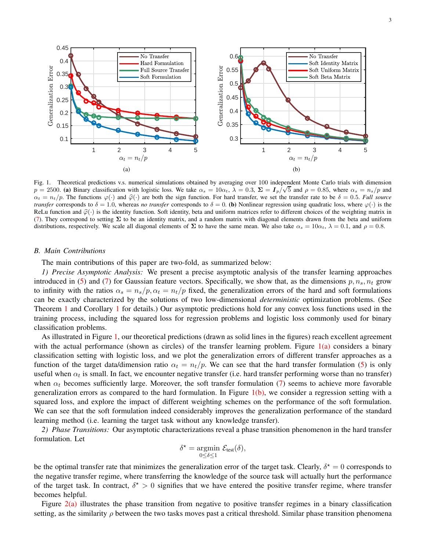<span id="page-2-1"></span>

<span id="page-2-2"></span><span id="page-2-0"></span>Fig. 1. Theoretical predictions v.s. numerical simulations obtained by averaging over 100 independent Monte Carlo trials with dimension  $p = 2500$ . (a) Binary classification with logistic loss. We take  $\alpha_s = 10\alpha_t$ ,  $\lambda = 0.3$ ,  $\Sigma = I_p/\sqrt{5}$  and  $\rho = 0.85$ , where  $\alpha_s = n_s/p$  and  $\alpha_t = n_t/p$ . The functions  $\varphi(\cdot)$  and  $\widehat{\varphi}(\cdot)$  are both the sign function. For hard transfer, we set the transfer rate to be  $\delta = 0.5$ . *Full source transfer* corresponds to  $\delta = 1.0$ , whereas *no transfer* corresponds to  $\delta = 0$ . (b) Nonlinear regression using quadratic loss, where  $\varphi(\cdot)$  is the ReLu function and  $\hat{\varphi}(\cdot)$  is the identity function. Soft identity, beta and uniform matrices refer to different choices of the weighting matrix in [\(7\)](#page-1-1). They correspond to setting  $\Sigma$  to be an identity matrix, and a random matrix with diagonal elements drawn from the beta and uniform distributions, respectively. We scale all diagonal elements of  $\Sigma$  to have the same mean. We also take  $\alpha_s = 10\alpha_t$ ,  $\lambda = 0.1$ , and  $\rho = 0.8$ .

#### *B. Main Contributions*

The main contributions of this paper are two-fold, as summarized below:

*1) Precise Asymptotic Analysis:* We present a precise asymptotic analysis of the transfer learning approaches introduced in [\(5\)](#page-1-0) and [\(7\)](#page-1-1) for Gaussian feature vectors. Specifically, we show that, as the dimensions  $p, n_s, n_t$  grow to infinity with the ratios  $\alpha_s = n_s/p$ ,  $\alpha_t = n_t/p$  fixed, the generalization errors of the hard and soft formulations can be exactly characterized by the solutions of two low-dimensional *deterministic* optimization problems. (See Theorem [1](#page-5-0) and Corollary [1](#page-6-0) for details.) Our asymptotic predictions hold for any convex loss functions used in the training process, including the squared loss for regression problems and logistic loss commonly used for binary classification problems.

As illustrated in Figure [1,](#page-2-0) our theoretical predictions (drawn as solid lines in the figures) reach excellent agreement with the actual performance (shown as circles) of the transfer learning problem. Figure  $1(a)$  considers a binary classification setting with logistic loss, and we plot the generalization errors of different transfer approaches as a function of the target data/dimension ratio  $\alpha_t = n_t/p$ . We can see that the hard transfer formulation [\(5\)](#page-1-0) is only useful when  $\alpha_t$  is small. In fact, we encounter negative transfer (i.e. hard transfer performing worse than no transfer) when  $\alpha_t$  becomes sufficiently large. Moreover, the soft transfer formulation [\(7\)](#page-1-1) seems to achieve more favorable generalization errors as compared to the hard formulation. In Figure  $1(b)$ , we consider a regression setting with a squared loss, and explore the impact of different weighting schemes on the performance of the soft formulation. We can see that the soft formulation indeed considerably improves the generalization performance of the standard learning method (i.e. learning the target task without any knowledge transfer).

*2) Phase Transitions:* Our asymptotic characterizations reveal a phase transition phenomenon in the hard transfer formulation. Let

$$
\delta^* = \underset{0 \le \delta \le 1}{\operatorname{argmin}} \mathcal{E}_{\text{test}}(\delta),
$$

be the optimal transfer rate that minimizes the generalization error of the target task. Clearly,  $\delta^* = 0$  corresponds to the negative transfer regime, where transferring the knowledge of the source task will actually hurt the performance of the target task. In contract,  $\delta^* > 0$  signifies that we have entered the positive transfer regime, where transfer becomes helpful.

Figure [2\(a\)](#page-3-0) illustrates the phase transition from negative to positive transfer regimes in a binary classification setting, as the similarity  $\rho$  between the two tasks moves past a critical threshold. Similar phase transition phenomena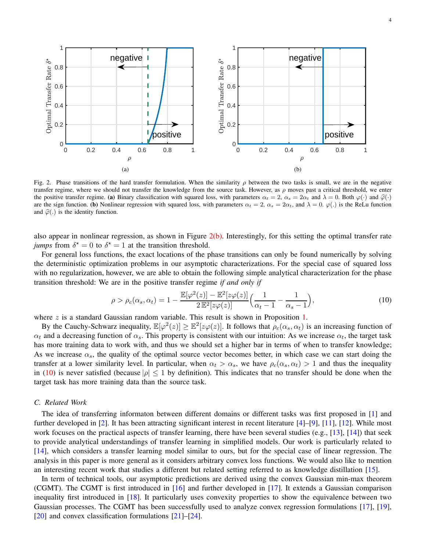<span id="page-3-0"></span>

<span id="page-3-3"></span>Fig. 2. Phase transitions of the hard transfer formulation. When the similarity  $\rho$  between the two tasks is small, we are in the negative transfer regime, where we should not transfer the knowledge from the source task. However, as  $\rho$  moves past a critical threshold, we enter the positive transfer regime. (a) Binary classification with squared loss, with parameters  $\alpha_t = 2$ ,  $\alpha_s = 2\alpha_t$  and  $\lambda = 0$ . Both  $\varphi(\cdot)$  and  $\hat{\varphi}(\cdot)$ are the sign function. (b) Nonlinear regression with squared loss, with parameters  $\alpha_t = 2$ ,  $\alpha_s = 2\alpha_t$ , and  $\lambda = 0$ .  $\varphi(.)$  is the ReLu function and  $\hat{\varphi}(.)$  is the identity function.

also appear in nonlinear regression, as shown in Figure  $2(b)$ . Interestingly, for this setting the optimal transfer rate *jumps* from  $\delta^* = 0$  to  $\delta^* = 1$  at the transition threshold.

For general loss functions, the exact locations of the phase transitions can only be found numerically by solving the deterministic optimization problems in our asymptotic characterizations. For the special case of squared loss with no regularization, however, we are able to obtain the following simple analytical characterization for the phase transition threshold: We are in the positive transfer regime *if and only if*

<span id="page-3-2"></span><span id="page-3-1"></span>
$$
\rho > \rho_c(\alpha_s, \alpha_t) = 1 - \frac{\mathbb{E}[\varphi^2(z)] - \mathbb{E}^2[z\varphi(z)]}{2\mathbb{E}^2[z\varphi(z)]} \Big(\frac{1}{\alpha_t - 1} - \frac{1}{\alpha_s - 1}\Big),\tag{10}
$$

where  $z$  is a standard Gaussian random variable. This result is shown in Proposition [1.](#page-6-1)

By the Cauchy-Schwarz inequality,  $\mathbb{E}[\varphi^2(z)] \geq \mathbb{E}^2[z\varphi(z)]$ . It follows that  $\rho_c(\alpha_s, \alpha_t)$  is an increasing function of  $\alpha_t$  and a decreasing function of  $\alpha_s$ . This property is consistent with our intuition: As we increase  $\alpha_t$ , the target task has more training data to work with, and thus we should set a higher bar in terms of when to transfer knowledge; As we increase  $\alpha_s$ , the quality of the optimal source vector becomes better, in which case we can start doing the transfer at a lower similarity level. In particular, when  $\alpha_t > \alpha_s$ , we have  $\rho_c(\alpha_s, \alpha_t) > 1$  and thus the inequality in [\(10\)](#page-3-2) is never satisfied (because  $|\rho| \leq 1$  by definition). This indicates that no transfer should be done when the target task has more training data than the source task.

#### *C. Related Work*

The idea of transferring informaton between different domains or different tasks was first proposed in [\[1\]](#page-24-0) and further developed in [\[2\]](#page-24-7). It has been attracting significant interest in recent literature [\[4\]](#page-24-4)–[\[9\]](#page-24-3), [\[11\]](#page-24-6), [\[12\]](#page-25-0). While most work focuses on the practical aspects of transfer learning, there have been several studies (e.g., [\[13\]](#page-25-1), [\[14\]](#page-25-2)) that seek to provide analytical understandings of transfer learning in simplified models. Our work is particularly related to [\[14\]](#page-25-2), which considers a transfer learning model similar to ours, but for the special case of linear regression. The analysis in this paper is more general as it considers arbitrary convex loss functions. We would also like to mention an interesting recent work that studies a different but related setting referred to as knowledge distillation [\[15\]](#page-25-3).

In term of technical tools, our asymptotic predictions are derived using the convex Gaussian min-max theorem (CGMT). The CGMT is first introduced in [\[16\]](#page-25-4) and further developed in [\[17\]](#page-25-5). It extends a Gaussian comparison inequality first introduced in [\[18\]](#page-25-6). It particularly uses convexity properties to show the equivalence between two Gaussian processes. The CGMT has been successfully used to analyze convex regression formulations [\[17\]](#page-25-5), [\[19\]](#page-25-7), [\[20\]](#page-25-8) and convex classification formulations [\[21\]](#page-25-9)–[\[24\]](#page-25-10).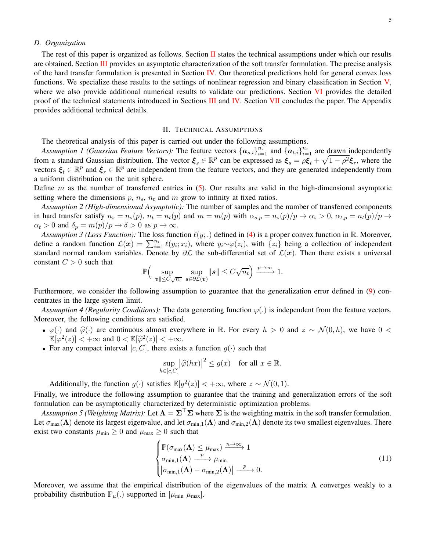#### *D. Organization*

The rest of this paper is organized as follows. Section  $\Pi$  states the technical assumptions under which our results are obtained. Section [III](#page-5-1) provides an asymptotic characterization of the soft transfer formulation. The precise analysis of the hard transfer formulation is presented in Section [IV.](#page-6-2) Our theoretical predictions hold for general convex loss functions. We specialize these results to the settings of nonlinear regression and binary classification in Section [V,](#page-7-0) where we also provide additional numerical results to validate our predictions. Section [VI](#page-9-0) provides the detailed proof of the technical statements introduced in Sections [III](#page-5-1) and [IV.](#page-6-2) Section [VII](#page-20-0) concludes the paper. The Appendix provides additional technical details.

#### <span id="page-4-3"></span><span id="page-4-2"></span>II. TECHNICAL ASSUMPTIONS

<span id="page-4-0"></span>The theoretical analysis of this paper is carried out under the following assumptions.

Assumption 1 (Gaussian Feature Vectors): The feature vectors  $\{a_{s,i}\}_{i=1}^{n_s}$  and  $\{a_{t,i}\}_{i=1}^{n_t}$  are drawn independently from a standard Gaussian distribution. The vector  $\xi_s \in \mathbb{R}^p$  can be expressed as  $\xi_s = \rho \xi_t + \sqrt{1 - \rho^2} \xi_r$ , where the vectors  $\xi_t \in \mathbb{R}^p$  and  $\xi_r \in \mathbb{R}^p$  are independent from the feature vectors, and they are generated independently from a uniform distribution on the unit sphere.

Define  $m$  as the number of transferred entries in  $(5)$ . Our results are valid in the high-dimensional asymptotic setting where the dimensions  $p$ ,  $n_s$ ,  $n_t$  and  $m$  grow to infinity at fixed ratios.

*Assumption 2 (High-dimensional Asymptotic):* The number of samples and the number of transferred components in hard transfer satisfy  $n_s = n_s(p)$ ,  $n_t = n_t(p)$  and  $m = m(p)$  with  $\alpha_{s,p} = n_s(p)/p \to \alpha_s > 0$ ,  $\alpha_{t,p} = n_t(p)/p \to \infty$  $\alpha_t > 0$  and  $\delta_p = m(p)/p \to \delta > 0$  as  $p \to \infty$ .

<span id="page-4-4"></span>*Assumption 3 (Loss Function):* The loss function  $\ell(y;.)$  defined in [\(4\)](#page-1-2) is a proper convex function in  $\mathbb R$ . Moreover, define a random function  $\mathcal{L}(x) = \sum_{i=1}^{n_t} \ell(y_i; x_i)$ , where  $y_i \sim \varphi(z_i)$ , with  $\{z_i\}$  being a collection of independent standard normal random variables. Denote by  $\partial \mathcal{L}$  the sub-differential set of  $\mathcal{L}(x)$ . Then there exists a universal constant  $C > 0$  such that

<span id="page-4-5"></span>
$$
\mathbb{P}\Big(\sup_{\|\mathbf{v}\| \le C\sqrt{n_t}} \sup_{\mathbf{s}\in\partial \mathcal{L}(\mathbf{v})} \|\mathbf{s}\| \le C\sqrt{n_t}\Big) \xrightarrow{p\to\infty} 1.
$$

Furthermore, we consider the following assumption to guarantee that the generalization error defined in [\(9\)](#page-1-3) concentrates in the large system limit.

*Assumption 4 (Regularity Conditions):* The data generating function  $\varphi(.)$  is independent from the feature vectors. Moreover, the following conditions are satisfied.

- $\varphi(\cdot)$  and  $\widehat{\varphi}(\cdot)$  are continuous almost everywhere in R. For every  $h > 0$  and  $z \sim \mathcal{N}(0, h)$ , we have  $0 <$  $\mathbb{E}[\varphi^2(z)] < +\infty$  and  $0 < \mathbb{E}[\widehat{\varphi}^2(z)] < +\infty$ .
- For any compact interval [c, C], there exists a function  $q(\cdot)$  such that

<span id="page-4-1"></span>
$$
\sup_{h \in [c,C]} |\widehat{\varphi}(hx)|^2 \le g(x) \quad \text{for all } x \in \mathbb{R}.
$$

Additionally, the function  $g(\cdot)$  satisfies  $\mathbb{E}[g^2(z)] < +\infty$ , where  $z \sim \mathcal{N}(0, 1)$ .

Finally, we introduce the following assumption to guarantee that the training and generalization errors of the soft formulation can be asymptotically characterized by deterministic optimization problems.

*Assumption 5 (Weighting Matrix):* Let  $\Lambda = \Sigma^{\top} \Sigma$  where  $\Sigma$  is the weighting matrix in the soft transfer formulation. Let  $\sigma_{\text{max}}(\Lambda)$  denote its largest eigenvalue, and let  $\sigma_{\text{min},1}(\Lambda)$  and  $\sigma_{\text{min},2}(\Lambda)$  denote its two smallest eigenvalues. There exist two constants  $\mu_{\min} \geq 0$  and  $\mu_{\max} \geq 0$  such that

$$
\begin{cases}\n\mathbb{P}(\sigma_{\max}(\mathbf{\Lambda}) \le \mu_{\max}) \xrightarrow{n \to \infty} 1 \\
\sigma_{\min,1}(\mathbf{\Lambda}) \xrightarrow{\ p} \mu_{\min} \\
|\sigma_{\min,1}(\mathbf{\Lambda}) - \sigma_{\min,2}(\mathbf{\Lambda})| \xrightarrow{\ p} 0.\n\end{cases} (11)
$$

Moreover, we assume that the empirical distribution of the eigenvalues of the matrix  $\Lambda$  converges weakly to a probability distribution  $\mathbb{P}_{\mu}$ .) supported in  $[\mu_{\min} \mu_{\max}]$ .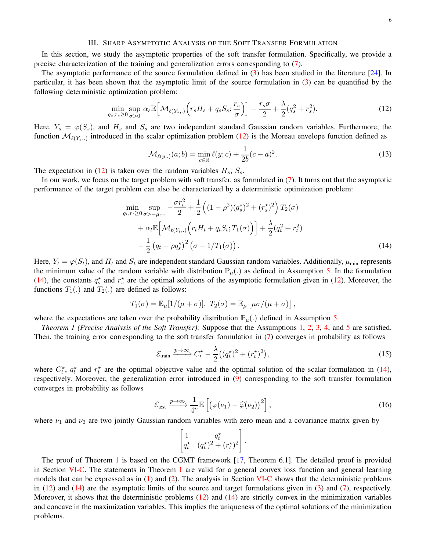## III. SHARP ASYMPTOTIC ANALYSIS OF THE SOFT TRANSFER FORMULATION

<span id="page-5-1"></span>In this section, we study the asymptotic properties of the soft transfer formulation. Specifically, we provide a precise characterization of the training and generalization errors corresponding to [\(7\)](#page-1-1).

The asymptotic performance of the source formulation defined in [\(3\)](#page-1-4) has been studied in the literature [\[24\]](#page-25-10). In particular, it has been shown that the asymptotic limit of the source formulation in [\(3\)](#page-1-4) can be quantified by the following deterministic optimization problem:

$$
\min_{q_s, r_s \ge 0} \sup_{\sigma > 0} \alpha_s \mathbb{E} \Big[ \mathcal{M}_{\ell(Y_s,.)} \Big( r_s H_s + q_s S_s; \frac{r_s}{\sigma} \Big) \Big] - \frac{r_s \sigma}{2} + \frac{\lambda}{2} (q_s^2 + r_s^2). \tag{12}
$$

Here,  $Y_s = \varphi(S_s)$ , and  $H_s$  and  $S_s$  are two independent standard Gaussian random variables. Furthermore, the function  $\mathcal{M}_{\ell(Y_s,.)}$  introduced in the scalar optimization problem [\(12\)](#page-5-2) is the Moreau envelope function defined as

<span id="page-5-6"></span><span id="page-5-2"></span>
$$
\mathcal{M}_{\ell(y,.)}(a;b) = \min_{c \in \mathbb{R}} \ell(y;c) + \frac{1}{2b}(c-a)^2.
$$
 (13)

The expectation in [\(12\)](#page-5-2) is taken over the random variables  $H_s$ ,  $S_s$ .

In our work, we focus on the target problem with soft transfer, as formulated in [\(7\)](#page-1-1). It turns out that the asymptotic performance of the target problem can also be characterized by a deterministic optimization problem:

$$
\min_{q_t, r_t \ge 0} \sup_{\sigma > -\mu_{\min}} -\frac{\sigma r_t^2}{2} + \frac{1}{2} \left( (1 - \rho^2)(q_s^{\star})^2 + (r_s^{\star})^2 \right) T_2(\sigma) \n+ \alpha_t \mathbb{E} \Big[ \mathcal{M}_{\ell(Y_t,.)} \Big( r_t H_t + q_t S_t; T_1(\sigma) \Big) \Big] + \frac{\lambda}{2} (q_t^2 + r_t^2) \n- \frac{1}{2} (q_t - \rho q_s^{\star})^2 (\sigma - 1/T_1(\sigma)).
$$
\n(14)

Here,  $Y_t = \varphi(S_t)$ , and  $H_t$  and  $S_t$  are independent standard Gaussian random variables. Additionally,  $\mu_{min}$  represents the minimum value of the random variable with distribution  $\mathbb{P}_{\mu}$ .) as defined in Assumption [5.](#page-4-1) In the formulation [\(14\)](#page-5-3), the constants  $q_s^*$  and  $r_s^*$  are the optimal solutions of the asymptotic formulation given in [\(12\)](#page-5-2). Moreover, the functions  $T_1(.)$  and  $T_2(.)$  are defined as follows:

$$
T_1(\sigma) = \mathbb{E}_{\mu}[1/(\mu + \sigma)], T_2(\sigma) = \mathbb{E}_{\mu}[\mu \sigma/(\mu + \sigma)],
$$

<span id="page-5-0"></span>where the expectations are taken over the probability distribution  $\mathbb{P}_{\mu}$ . defined in Assumption [5.](#page-4-1)

*Theorem 1 (Precise Analysis of the Soft Transfer):* Suppose that the Assumptions [1,](#page-4-2) [2,](#page-4-3) [3,](#page-4-4) [4,](#page-4-5) and [5](#page-4-1) are satisfied. Then, the training error corresponding to the soft transfer formulation in [\(7\)](#page-1-1) converges in probability as follows

<span id="page-5-3"></span>
$$
\mathcal{E}_{\text{train}} \xrightarrow{p \to \infty} C_t^{\star} - \frac{\lambda}{2} \big( (q_t^{\star})^2 + (r_t^{\star})^2 \big), \tag{15}
$$

where  $C_t^*$ ,  $q_t^*$  and  $r_t^*$  are the optimal objective value and the optimal solution of the scalar formulation in [\(14\)](#page-5-3), respectively. Moreover, the generalization error introduced in [\(9\)](#page-1-3) corresponding to the soft transfer formulation converges in probability as follows

$$
\mathcal{E}_{\text{test}} \xrightarrow{p \to \infty} \frac{1}{4^{\nu}} \mathbb{E}\left[\left(\varphi(\nu_1) - \widehat{\varphi}(\nu_2)\right)^2\right],\tag{16}
$$

where  $\nu_1$  and  $\nu_2$  are two jointly Gaussian random variables with zero mean and a covariance matrix given by

<span id="page-5-5"></span><span id="page-5-4"></span>
$$
\begin{bmatrix} 1 & q_t^{\star} \\ q_t^{\star} & (q_t^{\star})^2 + (r_t^{\star})^2 \end{bmatrix}.
$$

The proof of Theorem [1](#page-5-0) is based on the CGMT framework [\[17,](#page-25-5) Theorem 6.1]. The detailed proof is provided in Section [VI-C.](#page-11-0) The statements in Theorem [1](#page-5-0) are valid for a general convex loss function and general learning models that can be expressed as in  $(1)$  and  $(2)$ . The analysis in Section [VI-C](#page-11-0) shows that the deterministic problems in [\(12\)](#page-5-2) and [\(14\)](#page-5-3) are the asymptotic limits of the source and target formulations given in [\(3\)](#page-1-4) and [\(7\)](#page-1-1), respectively. Moreover, it shows that the deterministic problems  $(12)$  and  $(14)$  are strictly convex in the minimization variables and concave in the maximization variables. This implies the uniqueness of the optimal solutions of the minimization problems.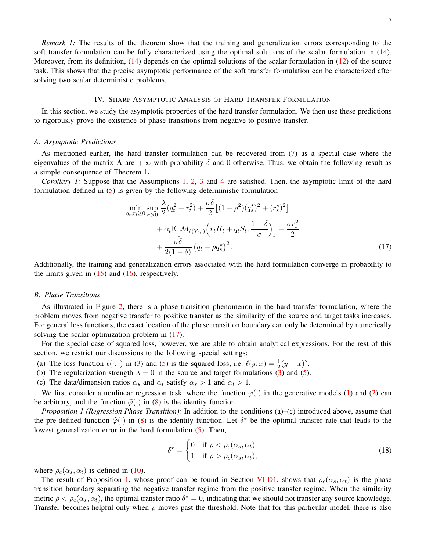## IV. SHARP ASYMPTOTIC ANALYSIS OF HARD TRANSFER FORMULATION

<span id="page-6-2"></span>In this section, we study the asymptotic properties of the hard transfer formulation. We then use these predictions to rigorously prove the existence of phase transitions from negative to positive transfer.

## *A. Asymptotic Predictions*

As mentioned earlier, the hard transfer formulation can be recovered from [\(7\)](#page-1-1) as a special case where the eigenvalues of the matrix  $\Lambda$  are  $+\infty$  with probability  $\delta$  and 0 otherwise. Thus, we obtain the following result as a simple consequence of Theorem [1.](#page-5-0)

<span id="page-6-0"></span>*Corollary 1:* Suppose that the Assumptions [1,](#page-4-2) [2,](#page-4-3) [3](#page-4-4) and [4](#page-4-5) are satisfied. Then, the asymptotic limit of the hard formulation defined in [\(5\)](#page-1-0) is given by the following deterministic formulation

<span id="page-6-3"></span>
$$
\min_{q_t, r_t \ge 0} \sup_{\sigma > 0} \frac{\lambda}{2} (q_t^2 + r_t^2) + \frac{\sigma \delta}{2} \left[ (1 - \rho^2)(q_s^*)^2 + (r_s^*)^2 \right] \n+ \alpha_t \mathbb{E} \left[ \mathcal{M}_{\ell(Y_{t,\cdot})} \left( r_t H_t + q_t S_t; \frac{1 - \delta}{\sigma} \right) \right] - \frac{\sigma r_t^2}{2} \n+ \frac{\sigma \delta}{2(1 - \delta)} \left( q_t - \rho q_s^* \right)^2.
$$
\n(17)

Additionally, the training and generalization errors associated with the hard formulation converge in probability to the limits given in  $(15)$  and  $(16)$ , respectively.

#### *B. Phase Transitions*

As illustrated in Figure [2,](#page-3-3) there is a phase transition phenomenon in the hard transfer formulation, where the problem moves from negative transfer to positive transfer as the similarity of the source and target tasks increases. For general loss functions, the exact location of the phase transition boundary can only be determined by numerically solving the scalar optimization problem in  $(17)$ .

For the special case of squared loss, however, we are able to obtain analytical expressions. For the rest of this section, we restrict our discussions to the following special settings:

- (a) The loss function  $\ell(\cdot, \cdot)$  in [\(3\)](#page-1-4) and [\(5\)](#page-1-0) is the squared loss, i.e.  $\ell(y, x) = \frac{1}{2}(y x)^2$ .
- (b) The regularization strength  $\lambda = 0$  in the source and target formulations [\(3\)](#page-1-4) and [\(5\)](#page-1-0).
- (c) The data/dimension ratios  $\alpha_s$  and  $\alpha_t$  satisfy  $\alpha_s > 1$  and  $\alpha_t > 1$ .

We first consider a nonlinear regression task, where the function  $\varphi(\cdot)$  in the generative models [\(1\)](#page-0-0) and [\(2\)](#page-0-1) can be arbitrary, and the function  $\hat{\varphi}(\cdot)$  in [\(8\)](#page-1-5) is the identity function.

<span id="page-6-1"></span>*Proposition 1 (Regression Phase Transition):* In addition to the conditions (a)–(c) introduced above, assume that the pre-defined function  $\hat{\varphi}(\cdot)$  in [\(8\)](#page-1-5) is the identity function. Let  $\delta^*$  be the optimal transfer rate that leads to the lowest generalization error in the hard formulation [\(5\)](#page-1-0). Then,

<span id="page-6-4"></span>
$$
\delta^* = \begin{cases} 0 & \text{if } \rho < \rho_c(\alpha_s, \alpha_t) \\ 1 & \text{if } \rho > \rho_c(\alpha_s, \alpha_t), \end{cases}
$$
 (18)

where  $\rho_c(\alpha_s, \alpha_t)$  is defined in [\(10\)](#page-3-2).

The result of Proposition [1,](#page-6-1) whose proof can be found in Section [VI-D1,](#page-19-0) shows that  $\rho_c(\alpha_s, \alpha_t)$  is the phase transition boundary separating the negative transfer regime from the positive transfer regime. When the similarity metric  $\rho < \rho_c(\alpha_s, \alpha_t)$ , the optimal transfer ratio  $\delta^* = 0$ , indicating that we should not transfer any source knowledge. Transfer becomes helpful only when  $\rho$  moves past the threshold. Note that for this particular model, there is also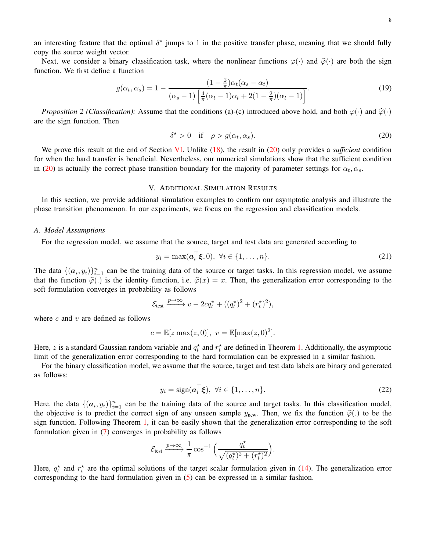an interesting feature that the optimal  $\delta^*$  jumps to 1 in the positive transfer phase, meaning that we should fully copy the source weight vector.

Next, we consider a binary classification task, where the nonlinear functions  $\varphi(\cdot)$  and  $\widehat{\varphi}(\cdot)$  are both the sign function. We first define a function

$$
g(\alpha_t, \alpha_s) = 1 - \frac{(1 - \frac{2}{\pi})\alpha_t(\alpha_s - \alpha_t)}{(\alpha_s - 1)\left[\frac{4}{\pi}(\alpha_t - 1)\alpha_t + 2(1 - \frac{2}{\pi})(\alpha_t - 1)\right]}.
$$
(19)

<span id="page-7-2"></span>*Proposition 2 (Classification):* Assume that the conditions (a)-(c) introduced above hold, and both  $\varphi(\cdot)$  and  $\widehat{\varphi}(\cdot)$ are the sign function. Then

<span id="page-7-1"></span>
$$
\delta^* > 0 \quad \text{if} \quad \rho > g(\alpha_t, \alpha_s). \tag{20}
$$

We prove this result at the end of Section [VI.](#page-9-0) Unlike [\(18\)](#page-6-4), the result in [\(20\)](#page-7-1) only provides a *sufficient* condition for when the hard transfer is beneficial. Nevertheless, our numerical simulations show that the sufficient condition in [\(20\)](#page-7-1) is actually the correct phase transition boundary for the majority of parameter settings for  $\alpha_t, \alpha_s$ .

#### V. ADDITIONAL SIMULATION RESULTS

<span id="page-7-0"></span>In this section, we provide additional simulation examples to confirm our asymptotic analysis and illustrate the phase transition phenomenon. In our experiments, we focus on the regression and classification models.

#### *A. Model Assumptions*

For the regression model, we assume that the source, target and test data are generated according to

$$
y_i = \max(\boldsymbol{a}_i^{\top}\boldsymbol{\xi}, 0), \ \forall i \in \{1, \dots, n\}.
$$

The data  $\{(a_i, y_i)\}_{i=1}^n$  can be the training data of the source or target tasks. In this regression model, we assume that the function  $\hat{\varphi}(.)$  is the identity function, i.e.  $\hat{\varphi}(x) = x$ . Then, the generalization error corresponding to the soft formulation converges in probability as follows

$$
\mathcal{E}_{\text{test}} \xrightarrow{p \to \infty} v - 2cq_t^{\star} + ((q_t^{\star})^2 + (r_t^{\star})^2),
$$

where  $c$  and  $v$  are defined as follows

$$
c = \mathbb{E}[z \max(z, 0)], v = \mathbb{E}[\max(z, 0)^2].
$$

Here, z is a standard Gaussian random variable and  $q_t^*$  and  $r_t^*$  are defined in Theorem [1.](#page-5-0) Additionally, the asymptotic limit of the generalization error corresponding to the hard formulation can be expressed in a similar fashion.

For the binary classification model, we assume that the source, target and test data labels are binary and generated as follows:

$$
y_i = sign(\boldsymbol{a}_i^\top \boldsymbol{\xi}), \ \forall i \in \{1, \dots, n\}.
$$

Here, the data  $\{(a_i, y_i)\}_{i=1}^n$  can be the training data of the source and target tasks. In this classification model, the objective is to predict the correct sign of any unseen sample  $y_{new}$ . Then, we fix the function  $\hat{\varphi}(.)$  to be the sign function. Following Theorem [1,](#page-5-0) it can be easily shown that the generalization error corresponding to the soft formulation given in [\(7\)](#page-1-1) converges in probability as follows

$$
\mathcal{E}_{\text{test}} \xrightarrow{p \to \infty} \frac{1}{\pi} \cos^{-1} \left( \frac{q_t^{\star}}{\sqrt{(q_t^{\star})^2 + (r_t^{\star})^2}} \right).
$$

Here,  $q_t^*$  and  $r_t^*$  are the optimal solutions of the target scalar formulation given in [\(14\)](#page-5-3). The generalization error corresponding to the hard formulation given in [\(5\)](#page-1-0) can be expressed in a similar fashion.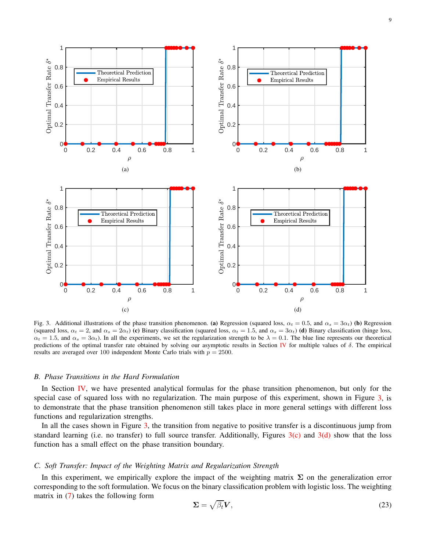<span id="page-8-1"></span>

<span id="page-8-2"></span><span id="page-8-0"></span>Fig. 3. Additional illustrations of the phase transition phenomenon. (a) Regression (squared loss,  $\alpha_t = 0.5$ , and  $\alpha_s = 3\alpha_t$ ) (b) Regression (squared loss,  $\alpha_t = 2$ , and  $\alpha_s = 2\alpha_t$ ) (c) Binary classification (squared loss,  $\alpha_t = 1.5$ , and  $\alpha_s = 3\alpha_t$ ) (d) Binary classification (hinge loss,  $\alpha_t = 1.5$ , and  $\alpha_s = 3\alpha_t$ ). In all the experiments, we set the regularization strength to be  $\lambda = 0.1$ . The blue line represents our theoretical predictions of the optimal transfer rate obtained by solving our asymptotic results in Section [IV](#page-6-2) for multiple values of δ. The empirical results are averaged over 100 independent Monte Carlo trials with  $p = 2500$ .

## *B. Phase Transitions in the Hard Formulation*

In Section [IV,](#page-6-2) we have presented analytical formulas for the phase transition phenomenon, but only for the special case of squared loss with no regularization. The main purpose of this experiment, shown in Figure [3,](#page-8-0) is to demonstrate that the phase transition phenomenon still takes place in more general settings with different loss functions and regularization strengths.

In all the cases shown in Figure [3,](#page-8-0) the transition from negative to positive transfer is a discontinuous jump from standard learning (i.e. no transfer) to full source transfer. Additionally, Figures  $3(c)$  and  $3(d)$  show that the loss function has a small effect on the phase transition boundary.

## *C. Soft Transfer: Impact of the Weighting Matrix and Regularization Strength*

In this experiment, we empirically explore the impact of the weighting matrix  $\Sigma$  on the generalization error corresponding to the soft formulation. We focus on the binary classification problem with logistic loss. The weighting matrix in [\(7\)](#page-1-1) takes the following form

<span id="page-8-3"></span>
$$
\Sigma = \sqrt{\beta_t} V,\tag{23}
$$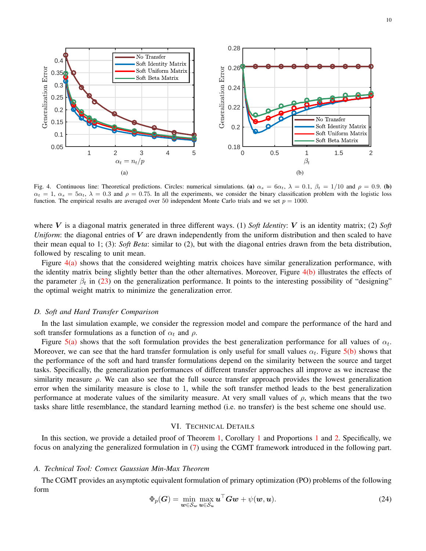<span id="page-9-1"></span>

<span id="page-9-2"></span>Fig. 4. Continuous line: Theoretical predictions. Circles: numerical simulations. (a)  $\alpha_s = 6\alpha_t$ ,  $\lambda = 0.1$ ,  $\beta_t = 1/10$  and  $\rho = 0.9$ . (b)  $\alpha_t = 1$ ,  $\alpha_s = 5\alpha_t$ ,  $\lambda = 0.3$  and  $\rho = 0.75$ . In all the experiments, we consider the binary classification problem with the logistic loss function. The empirical results are averaged over 50 independent Monte Carlo trials and we set  $p = 1000$ .

where  $V$  is a diagonal matrix generated in three different ways. (1) *Soft Identity*:  $V$  is an identity matrix; (2) *Soft Uniform*: the diagonal entries of V are drawn independently from the uniform distribution and then scaled to have their mean equal to 1; (3): *Soft Beta*: similar to (2), but with the diagonal entries drawn from the beta distribution, followed by rescaling to unit mean.

Figure [4\(a\)](#page-9-1) shows that the considered weighting matrix choices have similar generalization performance, with the identity matrix being slightly better than the other alternatives. Moreover, Figure [4\(b\)](#page-9-2) illustrates the effects of the parameter  $\beta_t$  in [\(23\)](#page-8-3) on the generalization performance. It points to the interesting possibility of "designing" the optimal weight matrix to minimize the generalization error.

#### *D. Soft and Hard Transfer Comparison*

In the last simulation example, we consider the regression model and compare the performance of the hard and soft transfer formulations as a function of  $\alpha_t$  and  $\rho$ .

Figure  $5(a)$  shows that the soft formulation provides the best generalization performance for all values of  $\alpha_t$ . Moreover, we can see that the hard transfer formulation is only useful for small values  $\alpha_t$ . Figure [5\(b\)](#page-10-1) shows that the performance of the soft and hard transfer formulations depend on the similarity between the source and target tasks. Specifically, the generalization performances of different transfer approaches all improve as we increase the similarity measure  $\rho$ . We can also see that the full source transfer approach provides the lowest generalization error when the similarity measure is close to 1, while the soft transfer method leads to the best generalization performance at moderate values of the similarity measure. At very small values of  $\rho$ , which means that the two tasks share little resemblance, the standard learning method (i.e. no transfer) is the best scheme one should use.

## VI. TECHNICAL DETAILS

<span id="page-9-0"></span>In this section, we provide a detailed proof of Theorem [1,](#page-5-0) Corollary [1](#page-6-0) and Proportions [1](#page-6-1) and [2.](#page-7-2) Specifically, we focus on analyzing the generalized formulation in [\(7\)](#page-1-1) using the CGMT framework introduced in the following part.

## <span id="page-9-4"></span>*A. Technical Tool: Convex Gaussian Min-Max Theorem*

The CGMT provides an asymptotic equivalent formulation of primary optimization (PO) problems of the following form

<span id="page-9-3"></span>
$$
\Phi_p(\boldsymbol{G}) = \min_{\boldsymbol{w} \in \mathcal{S}_{\boldsymbol{w}}} \max_{\boldsymbol{u} \in \mathcal{S}_{\boldsymbol{u}}} \boldsymbol{u}^\top \boldsymbol{G} \boldsymbol{w} + \psi(\boldsymbol{w}, \boldsymbol{u}). \tag{24}
$$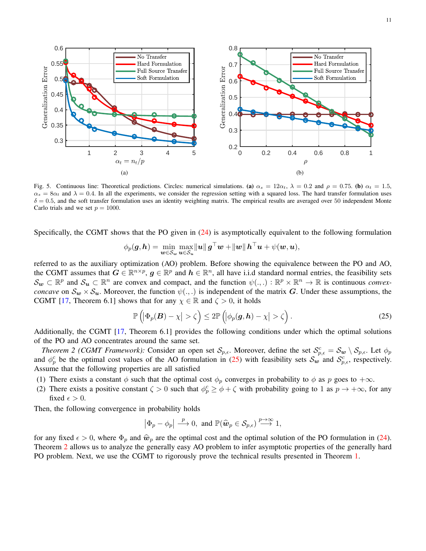<span id="page-10-0"></span>

Fig. 5. Continuous line: Theoretical predictions. Circles: numerical simulations. (a)  $\alpha_s = 12\alpha_t$ ,  $\lambda = 0.2$  and  $\rho = 0.75$ . (b)  $\alpha_t = 1.5$ ,  $\alpha_s = 8\alpha_t$  and  $\lambda = 0.4$ . In all the experiments, we consider the regression setting with a squared loss. The hard transfer formulation uses  $\delta = 0.5$ , and the soft transfer formulation uses an identity weighting matrix. The empirical results are averaged over 50 independent Monte Carlo trials and we set  $p = 1000$ .

Specifically, the CGMT shows that the PO given in [\(24\)](#page-9-3) is asymptotically equivalent to the following formulation

<span id="page-10-1"></span>
$$
\phi_p(\boldsymbol{g},\boldsymbol{h}) = \min_{\boldsymbol{w}\in\mathcal{S}_{\boldsymbol{w}}}\max_{\boldsymbol{u}\in\mathcal{S}_{\boldsymbol{u}}}\|\boldsymbol{u}\|\boldsymbol{g}^\top\boldsymbol{w} + \|\boldsymbol{w}\|\boldsymbol{h}^\top\boldsymbol{u} + \psi(\boldsymbol{w},\boldsymbol{u}),
$$

referred to as the auxiliary optimization (AO) problem. Before showing the equivalence between the PO and AO, the CGMT assumes that  $G \in \mathbb{R}^{n \times p}$ ,  $g \in \mathbb{R}^p$  and  $h \in \mathbb{R}^n$ , all have i.i.d standard normal entries, the feasibility sets  $\mathcal{S}_{w} \subset \mathbb{R}^{p}$  and  $\mathcal{S}_{u} \subset \mathbb{R}^{n}$  are convex and compact, and the function  $\psi(.,.) : \mathbb{R}^{p} \times \mathbb{R}^{n} \to \mathbb{R}$  is continuous *convexconcave* on  $\mathcal{S}_{w} \times \mathcal{S}_{u}$ . Moreover, the function  $\psi(.,.)$  is independent of the matrix G. Under these assumptions, the CGMT [\[17,](#page-25-5) Theorem 6.1] shows that for any  $\chi \in \mathbb{R}$  and  $\zeta > 0$ , it holds

<span id="page-10-3"></span><span id="page-10-2"></span>
$$
\mathbb{P}\left(\left|\Phi_p(\boldsymbol{B}) - \chi\right| > \zeta\right) \le 2 \mathbb{P}\left(\left|\phi_p(\boldsymbol{g}, \boldsymbol{h}) - \chi\right| > \zeta\right). \tag{25}
$$

Additionally, the CGMT [\[17,](#page-25-5) Theorem 6.1] provides the following conditions under which the optimal solutions of the PO and AO concentrates around the same set.

*Theorem 2 (CGMT Framework):* Consider an open set  $S_{p,\epsilon}$ . Moreover, define the set  $S_{p,\epsilon}^c = S_w \setminus S_{p,\epsilon}$ . Let  $\phi_p$ and  $\phi_p^c$  be the optimal cost values of the AO formulation in [\(25\)](#page-10-2) with feasibility sets  $S_w$  and  $S_{p,\epsilon}^c$ , respectively. Assume that the following properties are all satisfied

- (1) There exists a constant  $\phi$  such that the optimal cost  $\phi_p$  converges in probability to  $\phi$  as p goes to  $+\infty$ .
- (2) There exists a positive constant  $\zeta > 0$  such that  $\phi_p^c \ge \phi + \zeta$  with probability going to 1 as  $p \to +\infty$ , for any fixed  $\epsilon > 0$ .

Then, the following convergence in probability holds

$$
|\Phi_p - \phi_p| \stackrel{p}{\longrightarrow} 0
$$
, and  $\mathbb{P}(\widehat{\mathbf{w}}_p \in \mathcal{S}_{p,\epsilon}) \stackrel{p \to \infty}{\longrightarrow} 1$ ,

for any fixed  $\epsilon > 0$ , where  $\Phi_p$  and  $\hat{w}_p$  are the optimal cost and the optimal solution of the PO formulation in [\(24\)](#page-9-3). Theorem [2](#page-10-3) allows us to analyze the generally easy AO problem to infer asymptotic properties of the generally hard PO problem. Next, we use the CGMT to rigorously prove the technical results presented in Theorem [1.](#page-5-0)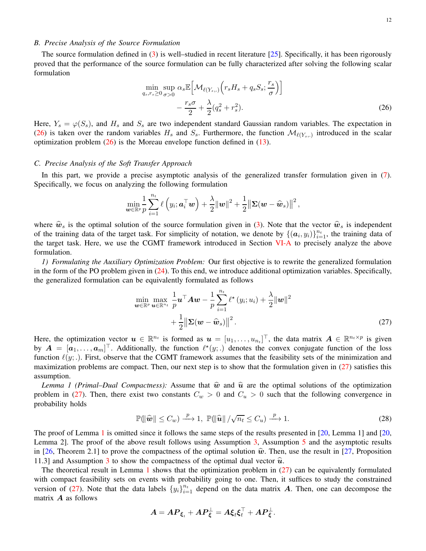## *B. Precise Analysis of the Source Formulation*

The source formulation defined in  $(3)$  is well–studied in recent literature [\[25\]](#page-25-11). Specifically, it has been rigorously proved that the performance of the source formulation can be fully characterized after solving the following scalar formulation

<span id="page-11-1"></span>
$$
\min_{q_s, r_s \ge 0} \sup_{\sigma > 0} \alpha_s \mathbb{E} \Big[ \mathcal{M}_{\ell(Y_s,.)} \Big( r_s H_s + q_s S_s; \frac{r_s}{\sigma} \Big) \Big] - \frac{r_s \sigma}{2} + \frac{\lambda}{2} (q_s^2 + r_s^2). \tag{26}
$$

Here,  $Y_s = \varphi(S_s)$ , and  $H_s$  and  $S_s$  are two independent standard Gaussian random variables. The expectation in [\(26\)](#page-11-1) is taken over the random variables  $H_s$  and  $S_s$ . Furthermore, the function  $\mathcal{M}_{\ell(Y_s,.)}$  introduced in the scalar optimization problem  $(26)$  is the Moreau envelope function defined in  $(13)$ .

## <span id="page-11-0"></span>*C. Precise Analysis of the Soft Transfer Approach*

In this part, we provide a precise asymptotic analysis of the generalized transfer formulation given in [\(7\)](#page-1-1). Specifically, we focus on analyzing the following formulation

$$
\min_{\boldsymbol w \in \mathbb{R}^p} \frac{1}{p} \sum_{i=1}^{n_t} \ell\left(y_i ; \boldsymbol a_i^{\top} \boldsymbol w \right) + \frac{\lambda}{2} \|\boldsymbol w\|^2 + \frac{1}{2} \big\| \boldsymbol \Sigma (\boldsymbol w - \widehat{\boldsymbol w}_s) \big\|^2 \,,
$$

where  $\hat{w}_s$  is the optimal solution of the source formulation given in [\(3\)](#page-1-4). Note that the vector  $\hat{w}_s$  is independent of the training data of the target task. For simplicity of notation, we denote by  $\{(\boldsymbol{a}_i, y_i)\}_{i=1}^{n_t}$ , the training data of the target task. Here, we use the CGMT framework introduced in Section [VI-A](#page-9-4) to precisely analyze the above formulation.

<span id="page-11-4"></span>*1) Formulating the Auxiliary Optimization Problem:* Our first objective is to rewrite the generalized formulation in the form of the PO problem given in [\(24\)](#page-9-3). To this end, we introduce additional optimization variables. Specifically, the generalized formulation can be equivalently formulated as follows

<span id="page-11-2"></span>
$$
\min_{\boldsymbol{w}\in\mathbb{R}^p} \max_{\boldsymbol{u}\in\mathbb{R}^{n_t}} \frac{1}{p} \boldsymbol{u}^\top \boldsymbol{A} \boldsymbol{w} - \frac{1}{p} \sum_{i=1}^{n_t} \ell^{\star} (y_i; u_i) + \frac{\lambda}{2} ||\boldsymbol{w}||^2
$$

$$
+ \frac{1}{2} ||\boldsymbol{\Sigma}(\boldsymbol{w} - \widehat{\boldsymbol{w}}_s)||^2.
$$
\n(27)

Here, the optimization vector  $u \in \mathbb{R}^{n_t}$  is formed as  $u = [u_1, \dots, u_{n_t}]^\top$ , the data matrix  $A \in \mathbb{R}^{n_t \times p}$  is given by  $A = [a_1, \ldots, a_m]^\top$ . Additionally, the function  $\ell^*(y;.)$  denotes the convex conjugate function of the loss function  $\ell(y;.)$ . First, observe that the CGMT framework assumes that the feasibility sets of the minimization and maximization problems are compact. Then, our next step is to show that the formulation given in [\(27\)](#page-11-2) satisfies this assumption.

<span id="page-11-3"></span>*Lemma 1 (Primal–Dual Compactness):* Assume that  $\hat{w}$  and  $\hat{u}$  are the optimal solutions of the optimization problem in [\(27\)](#page-11-2). Then, there exist two constants  $C_w > 0$  and  $C_u > 0$  such that the following convergence in probability holds

$$
\mathbb{P}(\|\widehat{\boldsymbol{w}}\| \leq C_w) \xrightarrow{p} 1, \ \mathbb{P}(\|\widehat{\boldsymbol{u}}\| / \sqrt{n_t} \leq C_u) \xrightarrow{p} 1. \tag{28}
$$

The proof of Lemma [1](#page-11-3) is omitted since it follows the same steps of the results presented in [\[20,](#page-25-8) Lemma 1] and [\[20,](#page-25-8) Lemma 2]. The proof of the above result follows using Assumption [3,](#page-4-4) Assumption [5](#page-4-1) and the asymptotic results in [\[26,](#page-25-12) Theorem 2.1] to prove the compactness of the optimal solution  $\hat{w}$ . Then, use the result in [\[27,](#page-25-13) Proposition 11.[3](#page-4-4)] and Assumption 3 to show the compactness of the optimal dual vector  $\hat{u}$ .

The theoretical result in Lemma [1](#page-11-3) shows that the optimization problem in [\(27\)](#page-11-2) can be equivalently formulated with compact feasibility sets on events with probability going to one. Then, it suffices to study the constrained version of [\(27\)](#page-11-2). Note that the data labels  $\{y_i\}_{i=1}^{n_t}$  depend on the data matrix A. Then, one can decompose the matrix  $\boldsymbol{A}$  as follows

$$
\boldsymbol{A} = \boldsymbol{A}\boldsymbol{P}_{\boldsymbol{\xi}_t} + \boldsymbol{A}\boldsymbol{P}_{\boldsymbol{\xi}}^\perp = \boldsymbol{A}\boldsymbol{\xi}_t\boldsymbol{\xi}_t^\top + \boldsymbol{A}\boldsymbol{P}_{\boldsymbol{\xi}}^\perp.
$$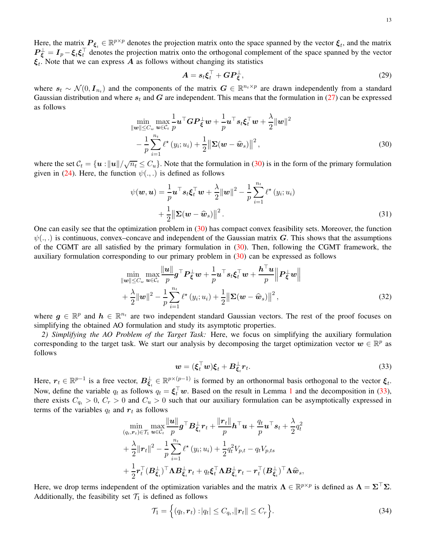Here, the matrix  $P_{\xi_t} \in \mathbb{R}^{p \times p}$  denotes the projection matrix onto the space spanned by the vector  $\xi_t$ , and the matrix  $P_{\xi}^{\perp} = I_p - \xi_t \xi_t^{\perp}$  denotes the projection matrix onto the orthogonal complement of the space spanned by the vector  $\xi_t$ . Note that we can express A as follows without changing its statistics

<span id="page-12-0"></span>
$$
A = s_t \xi_t^{\top} + GP_{\xi}^{\perp},\tag{29}
$$

where  $s_t \sim \mathcal{N}(0, I_{n_t})$  and the components of the matrix  $G \in \mathbb{R}^{n_t \times p}$  are drawn independently from a standard Gaussian distribution and where  $s_t$  and G are independent. This means that the formulation in [\(27\)](#page-11-2) can be expressed as follows

$$
\min_{\|\mathbf{w}\| \le C_w} \max_{\mathbf{u} \in \mathcal{C}_t} \frac{1}{p} \mathbf{u}^\top \mathbf{G} \mathbf{P}_{\xi}^\perp \mathbf{w} + \frac{1}{p} \mathbf{u}^\top s_t \xi_t^\top \mathbf{w} + \frac{\lambda}{2} {\|\mathbf{w}\|}^2 -\frac{1}{p} \sum_{i=1}^{n_t} \ell^*(y_i; u_i) + \frac{1}{2} {\|\mathbf{\Sigma}(\mathbf{w} - \widehat{\mathbf{w}}_s)\|}^2,
$$
(30)

where the set  $C_t = \{u : ||u|| / \sqrt{n_t} \le C_u\}$ . Note that the formulation in [\(30\)](#page-12-0) is in the form of the primary formulation given in [\(24\)](#page-9-3). Here, the function  $\psi(.,.)$  is defined as follows

$$
\psi(\boldsymbol{w}, \boldsymbol{u}) = \frac{1}{p} \boldsymbol{u}^{\top} \boldsymbol{s}_{t} \boldsymbol{\xi}_{t}^{\top} \boldsymbol{w} + \frac{\lambda}{2} ||\boldsymbol{w}||^{2} - \frac{1}{p} \sum_{i=1}^{n_{t}} \ell^{*} (y_{i}; u_{i}) + \frac{1}{2} ||\boldsymbol{\Sigma}(\boldsymbol{w} - \widehat{\boldsymbol{w}}_{s})||^{2}.
$$
\n(31)

One can easily see that the optimization problem in  $(30)$  has compact convex feasibility sets. Moreover, the function  $\psi(.,.)$  is continuous, convex–concave and independent of the Gaussian matrix G. This shows that the assumptions of the CGMT are all satisfied by the primary formulation in [\(30\)](#page-12-0). Then, following the CGMT framework, the auxiliary formulation corresponding to our primary problem in [\(30\)](#page-12-0) can be expressed as follows

$$
\min_{\|\mathbf{w}\| \leq C_w} \max_{\mathbf{u} \in C_t} \frac{\|\mathbf{u}\|}{p} \mathbf{g}^\top \mathbf{P}_{\xi}^\perp \mathbf{w} + \frac{1}{p} \mathbf{u}^\top \mathbf{s}_t \xi_t^\top \mathbf{w} + \frac{h^\top \mathbf{u}}{p} \left\| \mathbf{P}_{\xi}^\perp \mathbf{w} \right\| + \frac{\lambda}{2} \|\mathbf{w}\|^2 - \frac{1}{p} \sum_{i=1}^{n_t} \ell^\star \left(y_i; u_i\right) + \frac{1}{2} \left\| \mathbf{\Sigma} (\mathbf{w} - \widehat{\mathbf{w}}_s) \right\|^2,
$$
\n(32)

where  $g \in \mathbb{R}^p$  and  $h \in \mathbb{R}^{n_t}$  are two independent standard Gaussian vectors. The rest of the proof focuses on simplifying the obtained AO formulation and study its asymptotic properties.

<span id="page-12-2"></span>*2) Simplifying the AO Problem of the Target Task:* Here, we focus on simplifying the auxiliary formulation corresponding to the target task. We start our analysis by decomposing the target optimization vector  $w \in \mathbb{R}^p$  as follows

<span id="page-12-3"></span><span id="page-12-1"></span>
$$
\mathbf{w} = (\xi_t^\top \mathbf{w}) \xi_t + B_{\xi_t}^\perp r_t. \tag{33}
$$

Here,  $r_t \in \mathbb{R}^{p-1}$  is a free vector,  $B_{\xi_t}^{\perp} \in \mathbb{R}^{p \times (p-1)}$  is formed by an orthonormal basis orthogonal to the vector  $\xi_t$ . Now, define the variable  $q_t$  as follows  $q_t = \xi_t^{\perp} w$ . Based on the result in Lemma [1](#page-11-3) and the decomposition in [\(33\)](#page-12-1), there exists  $C_{q_t} > 0$ ,  $C_r > 0$  and  $C_u > 0$  such that our auxiliary formulation can be asymptotically expressed in terms of the variables  $q_t$  and  $r_t$  as follows

$$
\begin{split}\n&\min_{(q_t, \boldsymbol{r}_t) \in \mathcal{T}_1} \max_{\boldsymbol{u} \in \mathcal{C}_t} \frac{\|\boldsymbol{u}\|}{p} \boldsymbol{g}^\top \boldsymbol{B}_{\boldsymbol{\xi}_t}^\perp \boldsymbol{r}_t + \frac{\|\boldsymbol{r}_t\|}{p} \boldsymbol{h}^\top \boldsymbol{u} + \frac{q_t}{p} \boldsymbol{u}^\top \boldsymbol{s}_t + \frac{\lambda}{2} q_t^2 \\
&+ \frac{\lambda}{2} \|\boldsymbol{r}_t\|^2 - \frac{1}{p} \sum_{i=1}^{n_t} \ell^\star \left(y_i; u_i\right) + \frac{1}{2} q_t^2 V_{p,t} - q_t V_{p,ts} \\
&+ \frac{1}{2} \boldsymbol{r}_t^\top (\boldsymbol{B}_{\boldsymbol{\xi}_t}^\perp)^\top \boldsymbol{\Lambda} \boldsymbol{B}_{\boldsymbol{\xi}_t}^\perp \boldsymbol{r}_t + q_t \boldsymbol{\xi}_t^\top \boldsymbol{\Lambda} \boldsymbol{B}_{\boldsymbol{\xi}_t}^\perp \boldsymbol{r}_t - \boldsymbol{r}_t^\top (\boldsymbol{B}_{\boldsymbol{\xi}_t}^\perp)^\top \boldsymbol{\Lambda} \widehat{\boldsymbol{w}}_s,\n\end{split}
$$

Here, we drop terms independent of the optimization variables and the matrix  $\Lambda \in \mathbb{R}^{p \times p}$  is defined as  $\Lambda = \Sigma^{\top} \Sigma$ . Additionally, the feasibility set  $\mathcal{T}_1$  is defined as follows

<span id="page-12-4"></span>
$$
\mathcal{T}_1 = \left\{ (q_t, \mathbf{r}_t) : |q_t| \le C_{q_t}, ||\mathbf{r}_t|| \le C_r \right\}.
$$
\n(34)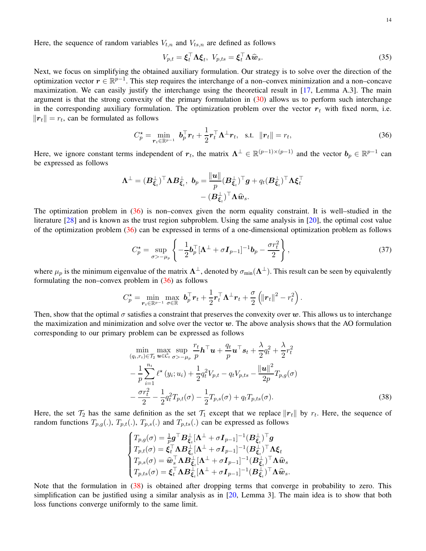Here, the sequence of random variables  $V_{t,n}$  and  $V_{ts,n}$  are defined as follows

<span id="page-13-0"></span>
$$
V_{p,t} = \boldsymbol{\xi}_t^\top \boldsymbol{\Lambda} \boldsymbol{\xi}_t, \ V_{p,ts} = \boldsymbol{\xi}_t^\top \boldsymbol{\Lambda} \widehat{\boldsymbol{w}}_s. \tag{35}
$$

Next, we focus on simplifying the obtained auxiliary formulation. Our strategy is to solve over the direction of the optimization vector  $r \in \mathbb{R}^{p-1}$ . This step requires the interchange of a non–convex minimization and a non–concave maximization. We can easily justify the interchange using the theoretical result in [\[17,](#page-25-5) Lemma A.3]. The main argument is that the strong convexity of the primary formulation in  $(30)$  allows us to perform such interchange in the corresponding auxiliary formulation. The optimization problem over the vector  $r_t$  with fixed norm, i.e.  $||\boldsymbol{r}_t|| = r_t$ , can be formulated as follows

$$
C_p^* = \min_{\mathbf{r}_t \in \mathbb{R}^{p-1}} \; \mathbf{b}_p^\top \mathbf{r}_t + \frac{1}{2} \mathbf{r}_t^\top \mathbf{\Lambda}^\perp \mathbf{r}_t, \quad \text{s.t.} \quad \|\mathbf{r}_t\| = r_t,
$$
\n
$$
(36)
$$

Here, we ignore constant terms independent of  $r_t$ , the matrix  $\Lambda^{\perp} \in \mathbb{R}^{(p-1)\times (p-1)}$  and the vector  $b_p \in \mathbb{R}^{p-1}$  can be expressed as follows

$$
\Lambda^{\perp} = (B_{\xi_t}^{\perp})^{\top} \Lambda B_{\xi_t}^{\perp}, \ b_p = \frac{\Vert \boldsymbol{u} \Vert}{p} (B_{\xi_t}^{\perp})^{\top} \boldsymbol{g} + q_t (B_{\xi_t}^{\perp})^{\top} \Lambda \boldsymbol{\xi}_t^{\top}
$$

$$
- (B_{\xi_t}^{\perp})^{\top} \Lambda \widehat{\boldsymbol{w}}_s.
$$

The optimization problem in [\(36\)](#page-13-0) is non–convex given the norm equality constraint. It is well–studied in the literature [\[28\]](#page-25-14) and is known as the trust region subproblem. Using the same analysis in [\[20\]](#page-25-8), the optimal cost value of the optimization problem [\(36\)](#page-13-0) can be expressed in terms of a one-dimensional optimization problem as follows

$$
C_p^* = \sup_{\sigma > -\mu_p} \left\{ -\frac{1}{2} \boldsymbol{b}_p^\top [\boldsymbol{\Lambda}^\perp + \sigma \boldsymbol{I}_{p-1}]^{-1} \boldsymbol{b}_p - \frac{\sigma r_t^2}{2} \right\},\tag{37}
$$

where  $\mu_p$  is the minimum eigenvalue of the matrix  $\Lambda^{\perp}$ , denoted by  $\sigma_{\min}(\Lambda^{\perp})$ . This result can be seen by equivalently formulating the non–convex problem in  $(36)$  as follows

$$
C_p^{\star} = \min_{\boldsymbol{r}_t \in \mathbb{R}^{p-1}} \max_{\sigma \in \mathbb{R}} \boldsymbol{b}_p^{\top} \boldsymbol{r}_t + \frac{1}{2} \boldsymbol{r}_t^{\top} \boldsymbol{\Lambda}^{\perp} \boldsymbol{r}_t + \frac{\sigma}{2} \left( \| \boldsymbol{r}_t \|^2 - r_t^2 \right).
$$

Then, show that the optimal  $\sigma$  satisfies a constraint that preserves the convexity over w. This allows us to interchange the maximization and minimization and solve over the vector  $w$ . The above analysis shows that the AO formulation corresponding to our primary problem can be expressed as follows

$$
\min_{(q_t, r_t) \in \mathcal{T}_2} \max_{\mathbf{u} \in \mathcal{C}_t} \sup_{\sigma > -\mu_p} \frac{r_t}{p} \mathbf{h}^\top \mathbf{u} + \frac{q_t}{p} \mathbf{u}^\top s_t + \frac{\lambda}{2} q_t^2 + \frac{\lambda}{2} r_t^2 \n- \frac{1}{p} \sum_{i=1}^{n_t} \ell^*(y_i; u_i) + \frac{1}{2} q_t^2 V_{p,t} - q_t V_{p,ts} - \frac{\|\mathbf{u}\|^2}{2p} T_{p,g}(\sigma) \n- \frac{\sigma r_t^2}{2} - \frac{1}{2} q_t^2 T_{p,t}(\sigma) - \frac{1}{2} T_{p,s}(\sigma) + q_t T_{p,ts}(\sigma).
$$
\n(38)

Here, the set  $\mathcal{T}_2$  has the same definition as the set  $\mathcal{T}_1$  except that we replace  $\|\mathbf{r}_t\|$  by  $r_t$ . Here, the sequence of random functions  $T_{p,q}(.), T_{p,t}(.), T_{p,s}(.)$  and  $T_{p,ts}(.)$  can be expressed as follows

<span id="page-13-1"></span>
$$
\begin{cases} T_{p,g}(\sigma)=\frac{1}{p}\boldsymbol{g}^{\top}\boldsymbol{B}_{\xi_t}^{\perp}[\boldsymbol{\Lambda}^{\perp}+\sigma\boldsymbol{I}_{p-1}]^{-1}(\boldsymbol{B}_{\xi_t}^{\perp})^{\top}\boldsymbol{g} \\ T_{p,t}(\sigma)=\boldsymbol{\xi}_t^{\top}\boldsymbol{\Lambda}\boldsymbol{B}_{\xi_t}^{\perp}[\boldsymbol{\Lambda}^{\perp}+\sigma\boldsymbol{I}_{p-1}]^{-1}(\boldsymbol{B}_{\xi_t}^{\perp})^{\top}\boldsymbol{\Lambda}\boldsymbol{\xi}_t \\ T_{p,s}(\sigma)=\widehat{\boldsymbol{w}}_s^{\top}\boldsymbol{\Lambda}\boldsymbol{B}_{\xi_t}^{\perp}[\boldsymbol{\Lambda}^{\perp}+\sigma\boldsymbol{I}_{p-1}]^{-1}(\boldsymbol{B}_{\xi_t}^{\perp})^{\top}\boldsymbol{\Lambda}\widehat{\boldsymbol{w}}_s \\ T_{p,ts}(\sigma)=\boldsymbol{\xi}_t^{\top}\boldsymbol{\Lambda}\boldsymbol{B}_{\xi_t}^{\perp}[\boldsymbol{\Lambda}^{\perp}+\sigma\boldsymbol{I}_{p-1}]^{-1}(\boldsymbol{B}_{\xi_t}^{\perp})^{\top}\boldsymbol{\Lambda}\widehat{\boldsymbol{w}}_s. \end{cases}
$$

Note that the formulation in [\(38\)](#page-13-1) is obtained after dropping terms that converge in probability to zero. This simplification can be justified using a similar analysis as in [\[20,](#page-25-8) Lemma 3]. The main idea is to show that both loss functions converge uniformly to the same limit.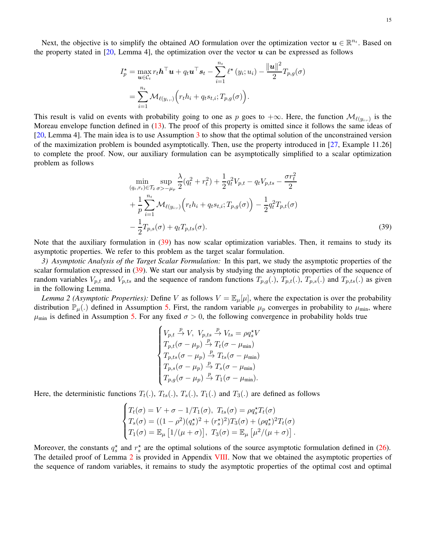Next, the objective is to simplify the obtained AO formulation over the optimization vector  $u \in \mathbb{R}^{n_t}$ . Based on the property stated in [\[20,](#page-25-8) Lemma 4], the optimization over the vector  $\boldsymbol{u}$  can be expressed as follows

$$
I_p^* = \max_{\mathbf{u} \in C_t} r_t \mathbf{h}^\top \mathbf{u} + q_t \mathbf{u}^\top \mathbf{s}_t - \sum_{i=1}^{n_t} \ell^*(y_i; u_i) - \frac{\|\mathbf{u}\|^2}{2} T_{p,g}(\sigma)
$$
  
= 
$$
\sum_{i=1}^{n_t} \mathcal{M}_{\ell(y_i,.)} \bigg( r_t h_i + q_t s_{t,i}; T_{p,g}(\sigma) \bigg).
$$

This result is valid on events with probability going to one as p goes to  $+\infty$ . Here, the function  $\mathcal{M}_{\ell(y_i,.)}$  is the Moreau envelope function defined in [\(13\)](#page-5-6). The proof of this property is omitted since it follows the same ideas of [\[20,](#page-25-8) Lemma 4]. The main idea is to use Assumption [3](#page-4-4) to show that the optimal solution of the unconstrained version of the maximization problem is bounded asymptotically. Then, use the property introduced in [\[27,](#page-25-13) Example 11.26] to complete the proof. Now, our auxiliary formulation can be asymptotically simplified to a scalar optimization problem as follows

$$
\min_{(q_t, r_t) \in \mathcal{T}_2} \sup_{\sigma > -\mu_p} \frac{\lambda}{2} (q_t^2 + r_t^2) + \frac{1}{2} q_t^2 V_{p,t} - q_t V_{p,ts} - \frac{\sigma r_t^2}{2} + \frac{1}{p} \sum_{i=1}^{n_t} \mathcal{M}_{\ell(y_i,.)} \Big( r_t h_i + q_t s_{t,i}; T_{p,g}(\sigma) \Big) - \frac{1}{2} q_t^2 T_{p,t}(\sigma) - \frac{1}{2} T_{p,s}(\sigma) + q_t T_{p,ts}(\sigma).
$$
\n(39)

<span id="page-14-2"></span>Note that the auxiliary formulation in [\(39\)](#page-14-0) has now scalar optimization variables. Then, it remains to study its asymptotic properties. We refer to this problem as the target scalar formulation.

*3) Asymptotic Analysis of the Target Scalar Formulation:* In this part, we study the asymptotic properties of the scalar formulation expressed in [\(39\)](#page-14-0). We start our analysis by studying the asymptotic properties of the sequence of random variables  $V_{p,t}$  and  $V_{p,ts}$  and the sequence of random functions  $T_{p,g}(.), T_{p,t}(.), T_{p,s}(.)$  and  $T_{p,ts}(.)$  as given in the following Lemma.

*Lemma 2 (Asymptotic Properties):* Define V as follows  $V = \mathbb{E}_{\mu}[\mu]$ , where the expectation is over the probability distribution  $\mathbb{P}_{\mu}$ .) defined in Assumption [5.](#page-4-1) First, the random variable  $\mu_p$  converges in probability to  $\mu_{min}$ , where  $\mu_{\text{min}}$  is defined in Assumption [5.](#page-4-1) For any fixed  $\sigma > 0$ , the following convergence in probability holds true

<span id="page-14-1"></span><span id="page-14-0"></span>
$$
\begin{cases}\nV_{p,t} \stackrel{p}{\rightarrow} V, V_{p,ts} \stackrel{p}{\rightarrow} V_{ts} = \rho q_s^{\star} V \\
T_{p,t}(\sigma - \mu_p) \stackrel{p}{\rightarrow} T_t(\sigma - \mu_{\min}) \\
T_{p,ts}(\sigma - \mu_p) \stackrel{p}{\rightarrow} T_{ts}(\sigma - \mu_{\min}) \\
T_{p,s}(\sigma - \mu_p) \stackrel{p}{\rightarrow} T_s(\sigma - \mu_{\min}) \\
T_{p,g}(\sigma - \mu_p) \stackrel{p}{\rightarrow} T_1(\sigma - \mu_{\min}).\n\end{cases}
$$

Here, the deterministic functions  $T_t(.)$ ,  $T_{ts}(.)$ ,  $T_s(.)$ ,  $T_1(.)$  and  $T_3(.)$  are defined as follows

$$
\begin{cases}\nT_t(\sigma) = V + \sigma - 1/T_1(\sigma), \ T_{ts}(\sigma) = \rho q_s^* T_t(\sigma) \\
T_s(\sigma) = ((1 - \rho^2)(q_s^*)^2 + (r_s^*)^2)T_3(\sigma) + (\rho q_s^*)^2 T_t(\sigma) \\
T_1(\sigma) = \mathbb{E}_{\mu} [1/(\mu + \sigma)], \ T_3(\sigma) = \mathbb{E}_{\mu} [\mu^2/(\mu + \sigma)].\n\end{cases}
$$

Moreover, the constants  $q_s^*$  and  $r_s^*$  are the optimal solutions of the source asymptotic formulation defined in [\(26\)](#page-11-1). The detailed proof of Lemma [2](#page-14-1) is provided in Appendix [VIII.](#page-20-1) Now that we obtained the asymptotic properties of the sequence of random variables, it remains to study the asymptotic properties of the optimal cost and optimal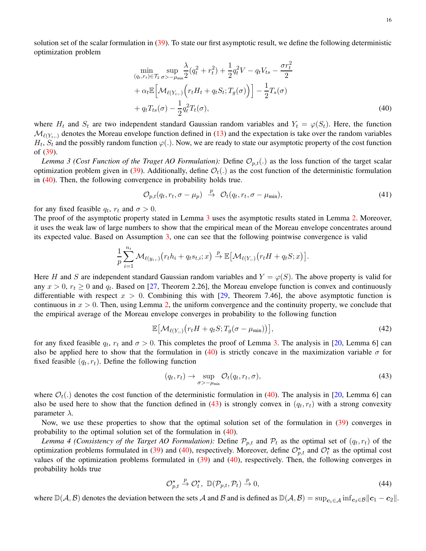solution set of the scalar formulation in [\(39\)](#page-14-0). To state our first asymptotic result, we define the following deterministic optimization problem

<span id="page-15-0"></span>
$$
\min_{(q_t, r_t) \in \mathcal{T}_2} \sup_{\sigma > -\mu_{\min}} \frac{\lambda}{2} (q_t^2 + r_t^2) + \frac{1}{2} q_t^2 V - q_t V_{ts} - \frac{\sigma r_t^2}{2} \n+ \alpha_t \mathbb{E} \Big[ \mathcal{M}_{\ell(Y_{t,\cdot})} \Big( r_t H_t + q_t S_t; T_g(\sigma) \Big) \Big] - \frac{1}{2} T_s(\sigma) \n+ q_t T_{ts}(\sigma) - \frac{1}{2} q_t^2 T_t(\sigma),
$$
\n(40)

where  $H_t$  and  $S_t$  are two independent standard Gaussian random variables and  $Y_t = \varphi(S_t)$ . Here, the function  $\mathcal{M}_{\ell(Y_t,.)}$  denotes the Moreau envelope function defined in [\(13\)](#page-5-6) and the expectation is take over the random variables  $H_t$ ,  $S_t$  and the possibly random function  $\varphi(.)$ . Now, we are ready to state our asymptotic property of the cost function of [\(39\)](#page-14-0).

<span id="page-15-1"></span>*Lemma 3 (Cost Function of the Traget AO Formulation):* Define  $\mathcal{O}_{p,t}(.)$  as the loss function of the target scalar optimization problem given in [\(39\)](#page-14-0). Additionally, define  $\mathcal{O}_t(.)$  as the cost function of the deterministic formulation in [\(40\)](#page-15-0). Then, the following convergence in probability holds true.

$$
\mathcal{O}_{p,t}(q_t, r_t, \sigma - \mu_p) \stackrel{p}{\rightarrow} \mathcal{O}_t(q_t, r_t, \sigma - \mu_{\min}), \tag{41}
$$

for any fixed feasible  $q_t$ ,  $r_t$  and  $\sigma > 0$ .

The proof of the asymptotic property stated in Lemma [3](#page-15-1) uses the asymptotic results stated in Lemma [2.](#page-14-1) Moreover, it uses the weak law of large numbers to show that the empirical mean of the Moreau envelope concentrates around its expected value. Based on Assumption [3,](#page-4-4) one can see that the following pointwise convergence is valid

$$
\frac{1}{p}\sum_{i=1}^{n_t} \mathcal{M}_{\ell(y_i,.)}(r_t h_i + q_t s_{t,i}; x) \stackrel{p}{\to} \mathbb{E}\big[\mathcal{M}_{\ell(Y,.)}(r_t H + q_t S; x)\big].
$$

Here H and S are independent standard Gaussian random variables and  $Y = \varphi(S)$ . The above property is valid for any  $x > 0$ ,  $r_t \ge 0$  and  $q_t$ . Based on [\[27,](#page-25-13) Theorem 2.26], the Moreau envelope function is convex and continuously differentiable with respect  $x > 0$ . Combining this with [\[29,](#page-25-15) Theorem 7.46], the above asymptotic function is continuous in  $x > 0$ . Then, using Lemma [2,](#page-14-1) the uniform convergence and the continuity property, we conclude that the empirical average of the Moreau envelope converges in probability to the following function

$$
\mathbb{E}\big[\mathcal{M}_{\ell(Y,\cdot)}\big(r_t H + q_t S; T_g(\sigma - \mu_{\min})\big)\big],\tag{42}
$$

for any fixed feasible  $q_t$ ,  $r_t$  and  $\sigma > 0$ . This completes the proof of Lemma [3.](#page-15-1) The analysis in [\[20,](#page-25-8) Lemma 6] can also be applied here to show that the formulation in [\(40\)](#page-15-0) is strictly concave in the maximization variable  $\sigma$  for fixed feasible  $(q_t, r_t)$ . Define the following function

<span id="page-15-2"></span>
$$
(q_t, r_t) \to \sup_{\sigma > -\mu_{\min}} \mathcal{O}_t(q_t, r_t, \sigma), \tag{43}
$$

where  $\mathcal{O}_t(.)$  denotes the cost function of the deterministic formulation in [\(40\)](#page-15-0). The analysis in [\[20,](#page-25-8) Lemma 6] can also be used here to show that the function defined in [\(43\)](#page-15-2) is strongly convex in  $(q_t, r_t)$  with a strong convexity parameter  $\lambda$ .

Now, we use these properties to show that the optimal solution set of the formulation in [\(39\)](#page-14-0) converges in probability to the optimal solution set of the formulation in [\(40\)](#page-15-0).

*Lemma 4 (Consistency of the Target AO Formulation):* Define  $\mathcal{P}_{p,t}$  and  $\mathcal{P}_t$  as the optimal set of  $(q_t, r_t)$  of the optimization problems formulated in [\(39\)](#page-14-0) and [\(40\)](#page-15-0), respectively. Moreover, define  $\mathcal{O}_{p,t}^{\star}$  and  $\mathcal{O}_t^{\star}$  as the optimal cost values of the optimization problems formulated in [\(39\)](#page-14-0) and [\(40\)](#page-15-0), respectively. Then, the following converges in probability holds true

<span id="page-15-3"></span>
$$
\mathcal{O}_{p,t}^{\star} \stackrel{p}{\to} \mathcal{O}_t^{\star}, \ \mathbb{D}(\mathcal{P}_{p,t}, \mathcal{P}_t) \stackrel{p}{\to} 0,\tag{44}
$$

where  $\mathbb{D}(\mathcal{A}, \mathcal{B})$  denotes the deviation between the sets A and B and is defined as  $\mathbb{D}(\mathcal{A}, \mathcal{B}) = \sup_{c_i \in \mathcal{A}} \inf_{c_i \in \mathcal{B}} ||c_1 - c_2||$ .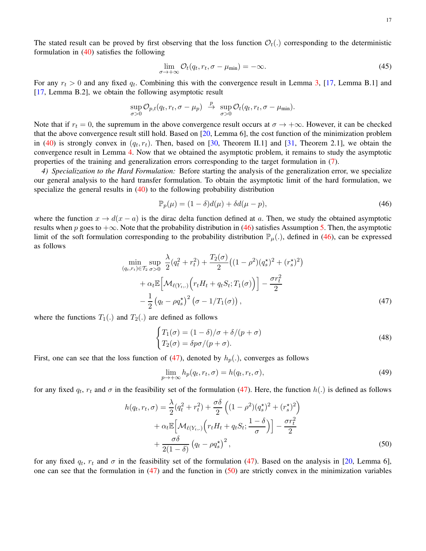The stated result can be proved by first observing that the loss function  $\mathcal{O}_t(.)$  corresponding to the deterministic formulation in  $(40)$  satisfies the following

$$
\lim_{\sigma \to +\infty} \mathcal{O}_t(q_t, r_t, \sigma - \mu_{\min}) = -\infty.
$$
\n(45)

For any  $r_t > 0$  and any fixed  $q_t$ . Combining this with the convergence result in Lemma [3,](#page-15-1) [\[17,](#page-25-5) Lemma B.1] and [\[17,](#page-25-5) Lemma B.2], we obtain the following asymptotic result

$$
\sup_{\sigma>0} \mathcal{O}_{p,t}(q_t,r_t,\sigma-\mu_p) \stackrel{p}{\rightarrow} \sup_{\sigma>0} \mathcal{O}_t(q_t,r_t,\sigma-\mu_{\min}).
$$

Note that if  $r_t = 0$ , the supremum in the above convergence result occurs at  $\sigma \to +\infty$ . However, it can be checked that the above convergence result still hold. Based on [\[20,](#page-25-8) Lemma 6], the cost function of the minimization problem in [\(40\)](#page-15-0) is strongly convex in  $(q_t, r_t)$ . Then, based on [\[30,](#page-25-16) Theorem II.1] and [\[31,](#page-25-17) Theorem 2.1], we obtain the convergence result in Lemma [4.](#page-15-3) Now that we obtained the asymptotic problem, it remains to study the asymptotic properties of the training and generalization errors corresponding to the target formulation in [\(7\)](#page-1-1).

*4) Specialization to the Hard Formulation:* Before starting the analysis of the generalization error, we specialize our general analysis to the hard transfer formulation. To obtain the asymptotic limit of the hard formulation, we specialize the general results in  $(40)$  to the following probability distribution

<span id="page-16-0"></span>
$$
\mathbb{P}_p(\mu) = (1 - \delta)d(\mu) + \delta d(\mu - p),\tag{46}
$$

where the function  $x \to d(x - a)$  is the dirac delta function defined at a. Then, we study the obtained asymptotic results when p goes to  $+\infty$ . Note that the probability distribution in [\(46\)](#page-16-0) satisfies Assumption [5.](#page-4-1) Then, the asymptotic limit of the soft formulation corresponding to the probability distribution  $\mathbb{P}_{\mu}$ .), defined in [\(46\)](#page-16-0), can be expressed as follows

$$
\min_{(q_t, r_t) \in \mathcal{T}_2} \sup_{\sigma > 0} \frac{\lambda}{2} (q_t^2 + r_t^2) + \frac{T_2(\sigma)}{2} \left( (1 - \rho^2)(q_s^*)^2 + (r_s^*)^2 \right) \n+ \alpha_t \mathbb{E} \left[ \mathcal{M}_{\ell(Y_t,.)} \left( r_t H_t + q_t S_t; T_1(\sigma) \right) \right] - \frac{\sigma r_t^2}{2} \n- \frac{1}{2} \left( q_t - \rho q_s^* \right)^2 \left( \sigma - 1/T_1(\sigma) \right),
$$
\n(47)

where the functions  $T_1(.)$  and  $T_2(.)$  are defined as follows

<span id="page-16-1"></span>
$$
\begin{cases}\nT_1(\sigma) = (1 - \delta)/\sigma + \delta/(p + \sigma) \\
T_2(\sigma) = \delta p \sigma/(p + \sigma).\n\end{cases}
$$
\n(48)

First, one can see that the loss function of [\(47\)](#page-16-1), denoted by  $h_p(.)$ , converges as follows

<span id="page-16-2"></span>
$$
\lim_{p \to +\infty} h_p(q_t, r_t, \sigma) = h(q_t, r_t, \sigma), \tag{49}
$$

for any fixed  $q_t$ ,  $r_t$  and  $\sigma$  in the feasibility set of the formulation [\(47\)](#page-16-1). Here, the function  $h(.)$  is defined as follows

$$
h(q_t, r_t, \sigma) = \frac{\lambda}{2} (q_t^2 + r_t^2) + \frac{\sigma \delta}{2} \left( (1 - \rho^2)(q_s^{\star})^2 + (r_s^{\star})^2 \right) + \alpha_t \mathbb{E} \left[ \mathcal{M}_{\ell(Y_t,.)} \left( r_t H_t + q_t S_t; \frac{1 - \delta}{\sigma} \right) \right] - \frac{\sigma r_t^2}{2} + \frac{\sigma \delta}{2(1 - \delta)} \left( q_t - \rho q_s^{\star} \right)^2,
$$
(50)

for any fixed  $q_t$ ,  $r_t$  and  $\sigma$  in the feasibility set of the formulation [\(47\)](#page-16-1). Based on the analysis in [\[20,](#page-25-8) Lemma 6], one can see that the formulation in  $(47)$  and the function in  $(50)$  are strictly convex in the minimization variables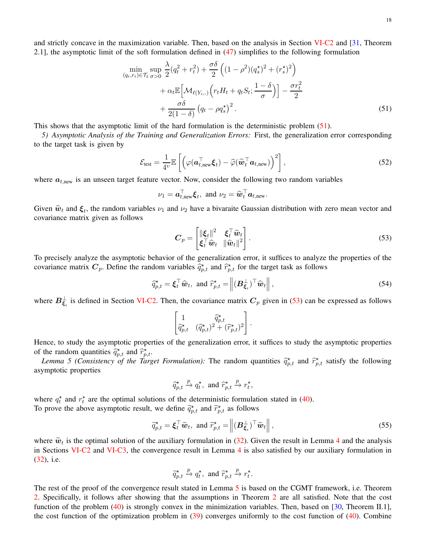and strictly concave in the maximization variable. Then, based on the analysis in Section [VI-C2](#page-12-2) and [\[31,](#page-25-17) Theorem 2.1], the asymptotic limit of the soft formulation defined in [\(47\)](#page-16-1) simplifies to the following formulation

$$
\min_{(q_t, r_t) \in \mathcal{T}_2} \sup_{\sigma > 0} \frac{\lambda}{2} (q_t^2 + r_t^2) + \frac{\sigma \delta}{2} \left( (1 - \rho^2)(q_s^*)^2 + (r_s^*)^2 \right) \\
+ \alpha_t \mathbb{E} \left[ \mathcal{M}_{\ell(Y_t, .)} \left( r_t H_t + q_t S_t; \frac{1 - \delta}{\sigma} \right) \right] - \frac{\sigma r_t^2}{2} \\
+ \frac{\sigma \delta}{2(1 - \delta)} \left( q_t - \rho q_s^* \right)^2. \tag{51}
$$

This shows that the asymptotic limit of the hard formulation is the deterministic problem [\(51\)](#page-17-0).

*5) Asymptotic Analysis of the Training and Generalization Errors:* First, the generalization error corresponding to the target task is given by

$$
\mathcal{E}_{\text{test}} = \frac{1}{4v} \mathbb{E}\left[ \left( \varphi(\boldsymbol{a}_{t,\text{new}}^{\top} \boldsymbol{\xi}_{t}) - \widehat{\varphi}(\widehat{\boldsymbol{w}}_{t}^{\top} \boldsymbol{a}_{t,\text{new}}) \right)^{2} \right],
$$
\n(52)

where  $a_{t, new}$  is an unseen target feature vector. Now, consider the following two random variables

<span id="page-17-0"></span>
$$
\nu_1 = \boldsymbol{a}_{t,\text{new}}^{\top} \boldsymbol{\xi}_t, \text{ and } \nu_2 = \widehat{\boldsymbol{w}}_t^{\top} \boldsymbol{a}_{t,\text{new}}.
$$

Given  $\hat{w}_t$  and  $\xi_t$ , the random variables  $\nu_1$  and  $\nu_2$  have a bivaraite Gaussian distribution with zero mean vector and covariance matrix given as follows

<span id="page-17-3"></span><span id="page-17-1"></span>
$$
C_p = \begin{bmatrix} \|\xi_t\|^2 & \xi_t^\top \widehat{\boldsymbol{w}}_t \\ \xi_t^\top \widehat{\boldsymbol{w}}_t & \|\widehat{\boldsymbol{w}}_t\|^2 \end{bmatrix} . \tag{53}
$$

To precisely analyze the asymptotic behavior of the generalization error, it suffices to analyze the properties of the covariance matrix  $C_p$ . Define the random variables  $\hat{q}^{\star}_{p,t}$  and  $\hat{r}^{\star}_{p,t}$  for the target task as follows

$$
\widehat{q}_{p,t}^{\star} = \boldsymbol{\xi}_t^{\top} \widehat{\boldsymbol{w}}_t, \text{ and } \widehat{r}_{p,t}^{\star} = \left\| (\boldsymbol{B}_{\boldsymbol{\xi}_t}^{\perp})^{\top} \widehat{\boldsymbol{w}}_t \right\|,
$$
\n(54)

where  $B_{\xi_i}^{\perp}$  is defined in Section [VI-C2.](#page-12-2) Then, the covariance matrix  $C_p$  given in [\(53\)](#page-17-1) can be expressed as follows

$$
\begin{bmatrix} 1 & \widehat{q}^\star_{p,t} \\ \widehat{q}^\star_{p,t} & (\widehat{q}^\star_{p,t})^2 + (\widehat{r}^\star_{p,t})^2 \end{bmatrix}.
$$

Hence, to study the asymptotic properties of the generalization error, it suffices to study the asymptotic properties of the random quantities  $\hat{q}_{p,t}^*$  and  $\hat{r}_{p,t}^*$ .

*Lemma 5 (Consistency of the Target Formulation):* The random quantities  $\hat{q}_{p,t}^{\star}$  and  $\hat{r}_{p,t}^{\star}$  satisfy the following asymptotic properties

<span id="page-17-2"></span>
$$
\widehat{q}_{p,t}^{\star} \xrightarrow{p} q_t^{\star}, \text{ and } \widehat{r}_{p,t}^{\star} \xrightarrow{p} r_t^{\star},
$$

where  $q_t^*$  and  $r_t^*$  are the optimal solutions of the deterministic formulation stated in [\(40\)](#page-15-0). To prove the above asymptotic result, we define  $\tilde{q}_{p,t}^*$  and  $\tilde{r}_{p,t}^*$  as follows

$$
\widetilde{q}_{p,t}^* = \boldsymbol{\xi}_t^\top \widetilde{\boldsymbol{w}}_t, \text{ and } \widetilde{r}_{p,t}^* = \left\| (\boldsymbol{B}_{\boldsymbol{\xi}_t}^\perp)^\top \widetilde{\boldsymbol{w}}_t \right\|,
$$
\n(55)

where  $\tilde{w}_t$  is the optimal solution of the auxiliary formulation in [\(32\)](#page-12-3). Given the result in Lemma [4](#page-15-3) and the analysis<br>in Sections MLC2 and MLC2 the company second that course 4 is the settified because will are formu in Sections [VI-C2](#page-12-2) and [VI-C3,](#page-14-2) the convergence result in Lemma [4](#page-15-3) is also satisfied by our auxiliary formulation in [\(32\)](#page-12-3), i.e.

$$
\widetilde{q}_{p,t}^{\star} \xrightarrow{p} q_t^{\star}, \text{ and } \widetilde{r}_{p,t}^{\star} \xrightarrow{p} r_t^{\star}.
$$

The rest of the proof of the convergence result stated in Lemma [5](#page-17-2) is based on the CGMT framework, i.e. Theorem [2.](#page-10-3) Specifically, it follows after showing that the assumptions in Theorem [2](#page-10-3) are all satisfied. Note that the cost function of the problem [\(40\)](#page-15-0) is strongly convex in the minimization variables. Then, based on [\[30,](#page-25-16) Theorem II.1], the cost function of the optimization problem in  $(39)$  converges uniformly to the cost function of  $(40)$ . Combine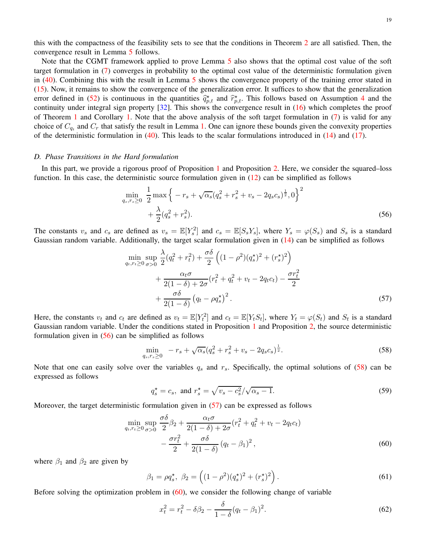<span id="page-18-0"></span>19

this with the compactness of the feasibility sets to see that the conditions in Theorem [2](#page-10-3) are all satisfied. Then, the convergence result in Lemma [5](#page-17-2) follows.

Note that the CGMT framework applied to prove Lemma [5](#page-17-2) also shows that the optimal cost value of the soft target formulation in [\(7\)](#page-1-1) converges in probability to the optimal cost value of the deterministic formulation given in [\(40\)](#page-15-0). Combining this with the result in Lemma [5](#page-17-2) shows the convergence property of the training error stated in [\(15\)](#page-5-4). Now, it remains to show the convergence of the generalization error. It suffices to show that the generalization error defined in [\(52\)](#page-17-3) is continuous in the quantities  $\hat{q}_{p,t}^*$  and  $\hat{r}_{p,t}^*$ . This follows based on Assumption [4](#page-4-5) and the continuity under integral sign property [\[32\]](#page-25-18). This shows the convergence result in [\(16\)](#page-5-5) which completes the proof of Theorem [1](#page-5-0) and Corollary [1.](#page-6-0) Note that the above analysis of the soft target formulation in  $(7)$  is valid for any choice of  $C_{q_t}$  and  $C_r$  that satisfy the result in Lemma [1.](#page-11-3) One can ignore these bounds given the convexity properties of the deterministic formulation in  $(40)$ . This leads to the scalar formulations introduced in  $(14)$  and  $(17)$ .

## *D. Phase Transitions in the Hard formulation*

In this part, we provide a rigorous proof of Proposition [1](#page-6-1) and Proposition [2.](#page-7-2) Here, we consider the squared–loss function. In this case, the deterministic source formulation given in  $(12)$  can be simplified as follows

$$
\min_{q_s, r_s \ge 0} \frac{1}{2} \max \left\{ -r_s + \sqrt{\alpha_s} (q_s^2 + r_s^2 + v_s - 2q_s c_s)^{\frac{1}{2}}, 0 \right\}^2
$$

$$
+ \frac{\lambda}{2} (q_s^2 + r_s^2). \tag{56}
$$

The constants  $v_s$  and  $c_s$  are defined as  $v_s = \mathbb{E}[Y_s^2]$  and  $c_s = \mathbb{E}[S_sY_s]$ , where  $Y_s = \varphi(S_s)$  and  $S_s$  is a standard Gaussian random variable. Additionally, the target scalar formulation given in  $(14)$  can be simplified as follows

$$
\min_{q_t, r_t \ge 0} \sup_{\sigma > 0} \frac{\lambda}{2} (q_t^2 + r_t^2) + \frac{\sigma \delta}{2} \left( (1 - \rho^2)(q_s^*)^2 + (r_s^*)^2 \right) \n+ \frac{\alpha_t \sigma}{2(1 - \delta) + 2\sigma} (r_t^2 + q_t^2 + v_t - 2q_t c_t) - \frac{\sigma r_t^2}{2} \n+ \frac{\sigma \delta}{2(1 - \delta)} (q_t - \rho q_s^*)^2.
$$
\n(57)

Here, the constants  $v_t$  and  $c_t$  are defined as  $v_t = \mathbb{E}[Y_t^2]$  and  $c_t = \mathbb{E}[Y_tS_t]$ , where  $Y_t = \varphi(S_t)$  and  $S_t$  is a standard Gaussian random variable. Under the conditions stated in Proposition [1](#page-6-1) and Proposition [2,](#page-7-2) the source deterministic formulation given in [\(56\)](#page-18-0) can be simplified as follows

<span id="page-18-2"></span>
$$
\min_{q_s, r_s \ge 0} -r_s + \sqrt{\alpha_s} (q_s^2 + r_s^2 + v_s - 2q_s c_s)^{\frac{1}{2}}.
$$
\n(58)

Note that one can easily solve over the variables  $q_s$  and  $r_s$ . Specifically, the optimal solutions of [\(58\)](#page-18-1) can be expressed as follows

<span id="page-18-1"></span>
$$
q_s^* = c_s
$$
, and  $r_s^* = \sqrt{v_s - c_s^2}/\sqrt{\alpha_s - 1}$ . (59)

Moreover, the target deterministic formulation given in [\(57\)](#page-18-2) can be expressed as follows

$$
\min_{q_t, r_t \ge 0} \sup_{\sigma > 0} \frac{\sigma \delta}{2} \beta_2 + \frac{\alpha_t \sigma}{2(1 - \delta) + 2\sigma} (r_t^2 + q_t^2 + v_t - 2q_t c_t) - \frac{\sigma r_t^2}{2} + \frac{\sigma \delta}{2(1 - \delta)} (q_t - \beta_1)^2,
$$
\n(60)

where  $\beta_1$  and  $\beta_2$  are given by

$$
\beta_1 = \rho q_s^{\star}, \ \beta_2 = \left( (1 - \rho^2)(q_s^{\star})^2 + (r_s^{\star})^2 \right). \tag{61}
$$

Before solving the optimization problem in  $(60)$ , we consider the following change of variable

<span id="page-18-4"></span><span id="page-18-3"></span>
$$
x_t^2 = r_t^2 - \delta\beta_2 - \frac{\delta}{1 - \delta}(q_t - \beta_1)^2.
$$
 (62)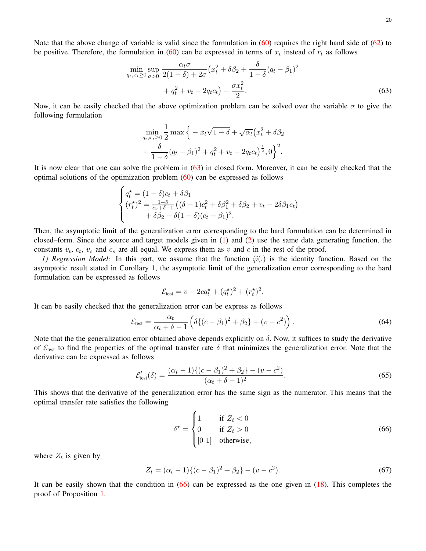<span id="page-19-1"></span>20

Note that the above change of variable is valid since the formulation in  $(60)$  requires the right hand side of  $(62)$  to be positive. Therefore, the formulation in [\(60\)](#page-18-3) can be expressed in terms of  $x_t$  instead of  $r_t$  as follows

$$
\min_{q_t, x_t \ge 0} \sup_{\sigma > 0} \frac{\alpha_t \sigma}{2(1 - \delta) + 2\sigma} \left( x_t^2 + \delta \beta_2 + \frac{\delta}{1 - \delta} (q_t - \beta_1)^2 + q_t^2 + v_t - 2q_t c_t \right) - \frac{\sigma x_t^2}{2}.
$$
\n(63)

Now, it can be easily checked that the above optimization problem can be solved over the variable  $\sigma$  to give the following formulation

$$
\min_{q_t, x_t \ge 0} \frac{1}{2} \max \Big\{ -x_t \sqrt{1-\delta} + \sqrt{\alpha_t} (x_t^2 + \delta \beta_2 + \frac{\delta}{1-\delta} (q_t - \beta_1)^2 + q_t^2 + v_t - 2q_t c_t \Big)^{\frac{1}{2}}, 0 \Big\}^2.
$$

It is now clear that one can solve the problem in [\(63\)](#page-19-1) in closed form. Moreover, it can be easily checked that the optimal solutions of the optimization problem  $(60)$  can be expressed as follows

$$
\begin{cases}\nq_t^{\star} = (1 - \delta)c_t + \delta\beta_1 \\
(r_t^{\star})^2 = \frac{1 - \delta}{\alpha_t + \delta - 1} \left( (\delta - 1)c_t^2 + \delta\beta_1^2 + \delta\beta_2 + v_t - 2\delta\beta_1 c_t \right) \\
+ \delta\beta_2 + \delta(1 - \delta)(c_t - \beta_1)^2.\n\end{cases}
$$

Then, the asymptotic limit of the generalization error corresponding to the hard formulation can be determined in closed–form. Since the source and target models given in [\(1\)](#page-0-0) and [\(2\)](#page-0-1) use the same data generating function, the constants  $v_t$ ,  $c_t$ ,  $v_s$  and  $c_s$  are all equal. We express them as v and c in the rest of the proof.

<span id="page-19-0"></span>*1) Regression Model:* In this part, we assume that the function  $\hat{\varphi}$ (.) is the identity function. Based on the asymptotic result stated in Corollary [1,](#page-6-0) the asymptotic limit of the generalization error corresponding to the hard formulation can be expressed as follows

$$
\mathcal{E}_{\text{test}} = v - 2cq_t^* + (q_t^*)^2 + (r_t^*)^2.
$$

It can be easily checked that the generalization error can be express as follows

$$
\mathcal{E}_{\text{test}} = \frac{\alpha_t}{\alpha_t + \delta - 1} \left( \delta \{ (c - \beta_1)^2 + \beta_2 \} + (v - c^2) \right). \tag{64}
$$

Note that the the generalization error obtained above depends explicitly on  $\delta$ . Now, it suffices to study the derivative of  $\mathcal{E}_{\text{test}}$  to find the properties of the optimal transfer rate  $\delta$  that minimizes the generalization error. Note that the derivative can be expressed as follows

$$
\mathcal{E}'_{\text{test}}(\delta) = \frac{(\alpha_t - 1)\{(c - \beta_1)^2 + \beta_2\} - (v - c^2)}{(\alpha_t + \delta - 1)^2}.
$$
\n(65)

This shows that the derivative of the generalization error has the same sign as the numerator. This means that the optimal transfer rate satisfies the following

<span id="page-19-2"></span>
$$
\delta^* = \begin{cases}\n1 & \text{if } Z_t < 0 \\
0 & \text{if } Z_t > 0 \\
0 & 1\n\end{cases}
$$
\n(66)

where  $Z_t$  is given by

$$
Z_t = (\alpha_t - 1)\{(c - \beta_1)^2 + \beta_2\} - (v - c^2). \tag{67}
$$

It can be easily shown that the condition in [\(66\)](#page-19-2) can be expressed as the one given in [\(18\)](#page-6-4). This completes the proof of Proposition [1.](#page-6-1)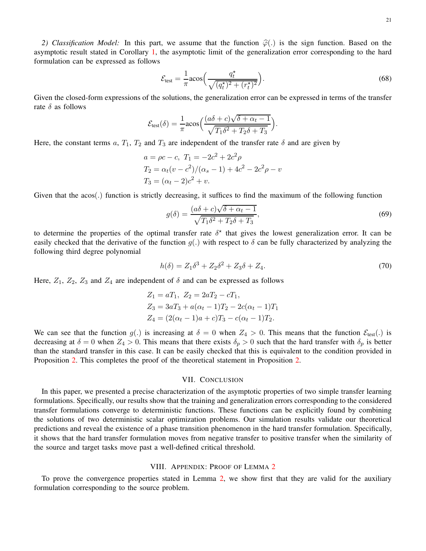$$
\mathcal{E}_{\text{test}} = \frac{1}{\pi} \text{acos}\left(\frac{q_t^{\star}}{\sqrt{(q_t^{\star})^2 + (r_t^{\star})^2}}\right). \tag{68}
$$

Given the closed-form expressions of the solutions, the generalization error can be expressed in terms of the transfer rate  $\delta$  as follows

$$
\mathcal{E}_{\text{test}}(\delta) = \frac{1}{\pi} \text{acos}\Big( \frac{(a\delta + c)\sqrt{\delta + \alpha_t - 1}}{\sqrt{T_1 \delta^2 + T_2 \delta + T_3}} \Big).
$$

Here, the constant terms a,  $T_1$ ,  $T_2$  and  $T_3$  are independent of the transfer rate  $\delta$  and are given by

$$
a = \rho c - c, T_1 = -2c^2 + 2c^2 \rho
$$
  
\n
$$
T_2 = \alpha_t (v - c^2) / (\alpha_s - 1) + 4c^2 - 2c^2 \rho - v
$$
  
\n
$$
T_3 = (\alpha_t - 2)c^2 + v.
$$

Given that the acos(.) function is strictly decreasing, it suffices to find the maximum of the following function

$$
g(\delta) = \frac{(a\delta + c)\sqrt{\delta + \alpha_t - 1}}{\sqrt{T_1 \delta^2 + T_2 \delta + T_3}},\tag{69}
$$

to determine the properties of the optimal transfer rate  $\delta^*$  that gives the lowest generalization error. It can be easily checked that the derivative of the function  $q(.)$  with respect to  $\delta$  can be fully characterized by analyzing the following third degree polynomial

$$
h(\delta) = Z_1 \delta^3 + Z_2 \delta^2 + Z_3 \delta + Z_4. \tag{70}
$$

Here,  $Z_1$ ,  $Z_2$ ,  $Z_3$  and  $Z_4$  are independent of  $\delta$  and can be expressed as follows

$$
Z_1 = aT_1, Z_2 = 2aT_2 - cT_1,
$$
  
\n
$$
Z_3 = 3aT_3 + a(\alpha_t - 1)T_2 - 2c(\alpha_t - 1)T_1
$$
  
\n
$$
Z_4 = (2(\alpha_t - 1)a + c)T_3 - c(\alpha_t - 1)T_2.
$$

We can see that the function  $g(.)$  is increasing at  $\delta = 0$  when  $Z_4 > 0$ . This means that the function  $\mathcal{E}_{\text{test}}(.)$  is decreasing at  $\delta = 0$  when  $Z_4 > 0$ . This means that there exists  $\delta_p > 0$  such that the hard transfer with  $\delta_p$  is better than the standard transfer in this case. It can be easily checked that this is equivalent to the condition provided in Proposition [2.](#page-7-2) This completes the proof of the theoretical statement in Proposition [2.](#page-7-2)

#### VII. CONCLUSION

<span id="page-20-0"></span>In this paper, we presented a precise characterization of the asymptotic properties of two simple transfer learning formulations. Specifically, our results show that the training and generalization errors corresponding to the considered transfer formulations converge to deterministic functions. These functions can be explicitly found by combining the solutions of two deterministic scalar optimization problems. Our simulation results validate our theoretical predictions and reveal the existence of a phase transition phenomenon in the hard transfer formulation. Specifically, it shows that the hard transfer formulation moves from negative transfer to positive transfer when the similarity of the source and target tasks move past a well-defined critical threshold.

## VIII. APPENDIX: PROOF OF LEMMA [2](#page-14-1)

<span id="page-20-1"></span>To prove the convergence properties stated in Lemma [2,](#page-14-1) we show first that they are valid for the auxiliary formulation corresponding to the source problem.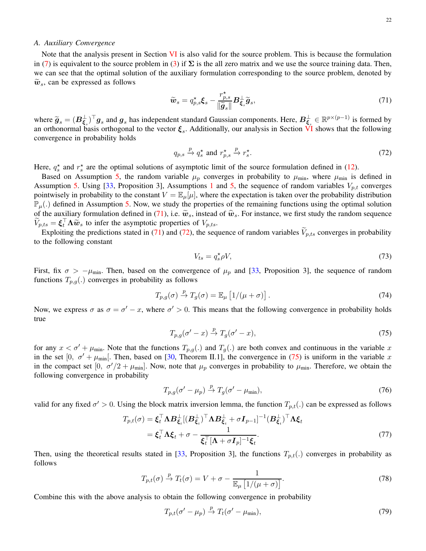## <span id="page-21-3"></span>*A. Auxiliary Convergence*

Note that the analysis present in Section [VI](#page-9-0) is also valid for the source problem. This is because the formulation in [\(7\)](#page-1-1) is equivalent to the source problem in [\(3\)](#page-1-4) if  $\Sigma$  is the all zero matrix and we use the source training data. Then, we can see that the optimal solution of the auxiliary formulation corresponding to the source problem, denoted by  $\widetilde{w}_s$ , can be expressed as follows

<span id="page-21-0"></span>
$$
\widetilde{\boldsymbol{w}}_s = q_{p,s}^{\star} \boldsymbol{\xi}_s - \frac{r_{p,s}^{\star}}{\|\widetilde{\boldsymbol{g}}_s\|} \boldsymbol{B}_{\boldsymbol{\xi}_s}^{\perp} \widetilde{\boldsymbol{g}}_s,\tag{71}
$$

where  $\widetilde{g}_s = (B_{\xi_s}^{\perp})^{\top} g_s$  and  $g_s$  has independent standard Gaussian components. Here,  $B_{\xi_s}^{\perp} \in \mathbb{R}^{p \times (p-1)}$  is formed by an orthonormal basis orthogonal to the vector  $\xi_s$ . Additionally, our analysis in Section [VI](#page-9-0) shows that the following convergence in probability holds

<span id="page-21-1"></span>
$$
q_{p,s} \xrightarrow{p} q_s^{\star} \text{ and } r_{p,s}^{\star} \xrightarrow{p} r_s^{\star}.
$$
 (72)

Here,  $q_s^*$  and  $r_s^*$  are the optimal solutions of asymptotic limit of the source formulation defined in [\(12\)](#page-5-2).

Based on Assumption [5,](#page-4-1) the random variable  $\mu_p$  converges in probability to  $\mu_{min}$ , where  $\mu_{min}$  is defined in Assumption [5.](#page-4-1) Using [\[33,](#page-25-19) Proposition 3], Assumptions [1](#page-4-2) and [5,](#page-4-1) the sequence of random variables  $V_{p,t}$  converges pointwisely in probability to the constant  $V = \mathbb{E}_{\mu}[\mu]$ , where the expectation is taken over the probability distribution  $\mathbb{P}_{\mu}$ .) defined in Assumption [5.](#page-4-1) Now, we study the properties of the remaining functions using the optimal solution of the auxiliary formulation defined in [\(71\)](#page-21-0), i.e.  $\tilde{w}_s$ , instead of  $\hat{w}_s$ . For instance, we first study the random sequence  $\widetilde{V}_{p,ts} = \boldsymbol{\xi}_t^{\top} \boldsymbol{\Lambda} \widetilde{\boldsymbol{w}}_s$  to infer the asymptotic properties of  $V_{p,ts}$ .

Exploiting the predictions stated in [\(71\)](#page-21-0) and [\(72\)](#page-21-1), the sequence of random variables  $\tilde{V}_{p,ts}$  converges in probability to the following constant

<span id="page-21-2"></span>
$$
V_{ts} = q_s^{\star} \rho V,\tag{73}
$$

First, fix  $\sigma > -\mu_{\text{min}}$ . Then, based on the convergence of  $\mu_p$  and [\[33,](#page-25-19) Proposition 3], the sequence of random functions  $T_{p,q}$ .) converges in probability as follows

$$
T_{p,g}(\sigma) \stackrel{p}{\to} T_g(\sigma) = \mathbb{E}_{\mu} \left[ 1/(\mu + \sigma) \right]. \tag{74}
$$

Now, we express  $\sigma$  as  $\sigma = \sigma' - x$ , where  $\sigma' > 0$ . This means that the following convergence in probability holds true

$$
T_{p,g}(\sigma'-x) \stackrel{p}{\to} T_g(\sigma'-x),\tag{75}
$$

for any  $x < \sigma' + \mu_{\min}$ . Note that the functions  $T_{p,q}(\cdot)$  and  $T_q(\cdot)$  are both convex and continuous in the variable x in the set [0,  $\sigma' + \mu_{\min}$ ]. Then, based on [\[30,](#page-25-16) Theorem II.1], the convergence in [\(75\)](#page-21-2) is uniform in the variable x in the compact set [0,  $\sigma'/2 + \mu_{min}$ ]. Now, note that  $\mu_p$  converges in probability to  $\mu_{min}$ . Therefore, we obtain the following convergence in probability

$$
T_{p,q}(\sigma'-\mu_p) \stackrel{p}{\rightarrow} T_g(\sigma'-\mu_{\min}),\tag{76}
$$

valid for any fixed  $\sigma' > 0$ . Using the block matrix inversion lemma, the function  $T_{p,t}(.)$  can be expressed as follows

$$
T_{p,t}(\sigma) = \xi_t^{\top} \Lambda B_{\xi_t}^{\perp} [(\mathbf{B}_{\xi_t}^{\perp})^{\top} \Lambda \mathbf{B}_{\xi_t}^{\perp} + \sigma \mathbf{I}_{p-1}]^{-1} (\mathbf{B}_{\xi_t}^{\perp})^{\top} \Lambda \xi_t
$$
  
=  $\xi_t^{\top} \Lambda \xi_t + \sigma - \frac{1}{\xi_t^{\top} [\Lambda + \sigma \mathbf{I}_p]^{-1} \xi_t}.$  (77)

Then, using the theoretical results stated in [\[33,](#page-25-19) Proposition 3], the functions  $T_{p,t}(\cdot)$  converges in probability as follows

$$
T_{p,t}(\sigma) \stackrel{p}{\to} T_t(\sigma) = V + \sigma - \frac{1}{\mathbb{E}_{\mu} \left[ 1/(\mu + \sigma) \right]}.
$$
\n(78)

Combine this with the above analysis to obtain the following convergence in probability

$$
T_{p,t}(\sigma'-\mu_p) \stackrel{p}{\rightarrow} T_t(\sigma'-\mu_{\min}),\tag{79}
$$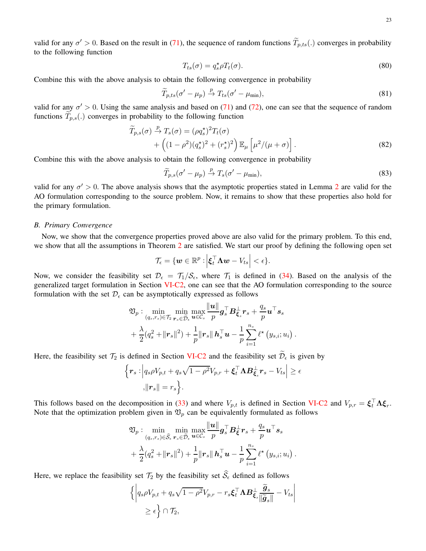valid for any  $\sigma' > 0$ . Based on the result in [\(71\)](#page-21-0), the sequence of random functions  $T_{p,ts}$ (.) converges in probability to the following function

$$
T_{ts}(\sigma) = q_s^* \rho T_t(\sigma). \tag{80}
$$

Combine this with the above analysis to obtain the following convergence in probability

$$
\widetilde{T}_{p,ts}(\sigma'-\mu_p) \xrightarrow{p} T_{ts}(\sigma'-\mu_{\min}),\tag{81}
$$

valid for any  $\sigma' > 0$ . Using the same analysis and based on [\(71\)](#page-21-0) and [\(72\)](#page-21-1), one can see that the sequence of random functions  $\widetilde{T}_{p,s}(.)$  converges in probability to the following function

$$
\widetilde{T}_{p,s}(\sigma) \stackrel{p}{\rightarrow} T_s(\sigma) = (\rho q_s^{\star})^2 T_t(\sigma) \n+ \left( (1 - \rho^2)(q_s^{\star})^2 + (r_s^{\star})^2 \right) \mathbb{E}_{\mu} \left[ \mu^2 / (\mu + \sigma) \right].
$$
\n(82)

Combine this with the above analysis to obtain the following convergence in probability

$$
\widetilde{T}_{p,s}(\sigma'-\mu_p) \stackrel{p}{\rightarrow} T_s(\sigma'-\mu_{\min}),\tag{83}
$$

.

valid for any  $\sigma' > 0$ . The above analysis shows that the asymptotic properties stated in Lemma [2](#page-14-1) are valid for the AO formulation corresponding to the source problem. Now, it remains to show that these properties also hold for the primary formulation.

#### *B. Primary Convergence*

Now, we show that the convergence properties proved above are also valid for the primary problem. To this end, we show that all the assumptions in Theorem [2](#page-10-3) are satisfied. We start our proof by defining the following open set

$$
\mathcal{T}_{\epsilon} = \{ \boldsymbol{w} \in \mathbb{R}^p : \Big| \boldsymbol{\xi}_t^\top \boldsymbol{\Lambda} \boldsymbol{w} - V_{ts} \Big| < \epsilon \}.
$$

Now, we consider the feasibility set  $\mathcal{D}_{\epsilon} = \mathcal{T}_{1}/\mathcal{S}_{\epsilon}$ , where  $\mathcal{T}_{1}$  is defined in [\(34\)](#page-12-4). Based on the analysis of the generalized target formulation in Section [VI-C2,](#page-12-2) one can see that the AO formulation corresponding to the source formulation with the set  $\mathcal{D}_{\epsilon}$  can be asymptotically expressed as follows

$$
\mathfrak{V}_p: \min_{(q_s,r_s)\in\mathcal{T}_2} \min_{\boldsymbol{r}_s\in\widetilde{\mathcal{D}}_\epsilon} \max_{\boldsymbol{u}\in\mathcal{C}_s} \frac{\|\boldsymbol{u}\|}{p} \boldsymbol{g}_s^\top \boldsymbol{B}_{\boldsymbol{\xi}_s}^\perp \boldsymbol{r}_s + \frac{q_s}{p} \boldsymbol{u}^\top \boldsymbol{s}_s\\ + \frac{\lambda}{2} (q_s^2 + \|\boldsymbol{r}_s\|^2) + \frac{1}{p} \|\boldsymbol{r}_s\| \boldsymbol{h}_s^\top \boldsymbol{u} - \frac{1}{p} \sum_{i=1}^{n_s} \ell^\star \left(y_{s,i}; u_i\right)
$$

Here, the feasibility set  $\mathcal{T}_2$  is defined in Section [VI-C2](#page-12-2) and the feasibility set  $\widetilde{\mathcal{D}}_{\epsilon}$  is given by

$$
\begin{aligned} \Big\{ \boldsymbol{r}_s : \Big| q_s \rho V_{p,t} + q_s \sqrt{1 - \rho^2} V_{p,r} + \boldsymbol{\xi}_t^\top \boldsymbol{\Lambda} \boldsymbol{B}_{\boldsymbol{\xi}_s}^\perp \boldsymbol{r}_s - V_{ts} \Big| \ge \epsilon \\ , \| \boldsymbol{r}_s \| = r_s \Big\}. \end{aligned}
$$

This follows based on the decomposition in [\(33\)](#page-12-1) and where  $V_{p,t}$  is defined in Section [VI-C2](#page-12-2) and  $V_{p,r} = \xi_t^{\top} \Lambda \xi_r$ . Note that the optimization problem given in  $\mathfrak{V}_p$  can be equivalently formulated as follows

$$
\mathfrak{V}_p: \min_{(q_s,r_s)\in\widehat{\mathcal{S}}_\epsilon} \min_{\boldsymbol{r}_s\in\widetilde{\mathcal{D}}_\epsilon} \max_{\boldsymbol{u}\in\mathcal{C}_s} \frac{\|\boldsymbol{u}\|}{p} \boldsymbol{g}_s^\top \boldsymbol{B}_{\boldsymbol{\xi}}^\perp \boldsymbol{r}_s + \frac{q_s}{p} \boldsymbol{u}^\top \boldsymbol{s}_s + \frac{\lambda}{2} (q_s^2 + \|\boldsymbol{r}_s\|^2) + \frac{1}{p} \|\boldsymbol{r}_s\| \boldsymbol{h}_s^\top \boldsymbol{u} - \frac{1}{p} \sum_{i=1}^{n_s} \ell^\star \left(y_{s,i}; u_i\right).
$$

Here, we replace the feasibility set  $\mathcal{T}_2$  by the feasibility set  $\widehat{S}_\epsilon$  defined as follows

$$
\left\{ \left| q_s \rho V_{p,t} + q_s \sqrt{1 - \rho^2} V_{p,r} - r_s \boldsymbol{\xi}_t^\top \boldsymbol{\Lambda} \boldsymbol{B}^\perp_{\boldsymbol{\xi}_s} \frac{\widetilde{\boldsymbol{g}}_s}{\|\widetilde{\boldsymbol{g}}_s\|} - V_{ts} \right| \n\geq \epsilon \right\} \cap \mathcal{T}_2,
$$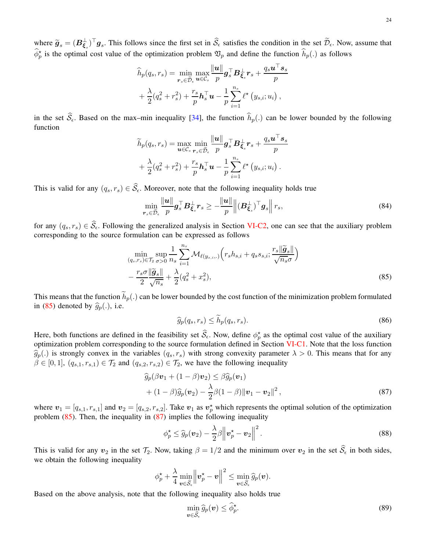24

where  $\widetilde{g}_s = (B_{\xi_s}^{\perp})^{\dagger} g_s$ . This follows since the first set in  $S_{\epsilon}$  satisfies the condition in the set  $\mathcal{D}_{\epsilon}$ . Now, assume that  $\hat{\phi}_p^*$  is the optimal cost value of the optimization problem  $\mathfrak{V}_p$  and define the function  $\hat{h}_p(.)$  as follows

$$
\widehat{h}_p(q_s, r_s) = \min_{\boldsymbol{r}_s \in \widetilde{\mathcal{D}}_{\epsilon}} \max_{\boldsymbol{u} \in \mathcal{C}_s} \frac{\|\boldsymbol{u}\|}{p} \boldsymbol{g}_s^\top \boldsymbol{B}_{\boldsymbol{\xi}_s}^\perp \boldsymbol{r}_s + \frac{q_s \boldsymbol{u}^\top \boldsymbol{s}_s}{p} \n+ \frac{\lambda}{2} (q_s^2 + r_s^2) + \frac{r_s}{p} \boldsymbol{h}_s^\top \boldsymbol{u} - \frac{1}{p} \sum_{i=1}^{n_s} \ell^{\star} (y_{s,i}; u_i) ,
$$

in the set  $\hat{S}_{\epsilon}$ . Based on the max–min inequality [\[34\]](#page-25-20), the function  $\hat{h}_p(.)$  can be lower bounded by the following function

$$
\widetilde{h}_p(q_s, r_s) = \max_{\boldsymbol{u} \in \mathcal{C}_s} \min_{\boldsymbol{r}_s \in \widetilde{\mathcal{D}}_{\epsilon}} \frac{\|\boldsymbol{u}\|}{p} \boldsymbol{g}_s^{\top} \boldsymbol{B}_{\boldsymbol{\xi}_s}^{\perp} \boldsymbol{r}_s + \frac{q_s \boldsymbol{u}^{\top} \boldsymbol{s}_s}{p} \n+ \frac{\lambda}{2} (q_s^2 + r_s^2) + \frac{r_s}{p} \boldsymbol{h}_s^{\top} \boldsymbol{u} - \frac{1}{p} \sum_{i=1}^{n_s} \ell^{\star} (y_{s,i}; u_i).
$$

This is valid for any  $(q_s, r_s) \in \hat{\mathcal{S}}_{\epsilon}$ . Moreover, note that the following inequality holds true

$$
\min_{\boldsymbol{r}_s \in \widetilde{\mathcal{D}}_{\epsilon}} \frac{\|\boldsymbol{u}\|}{p} \boldsymbol{g}_s^{\top} \boldsymbol{B}_{\boldsymbol{\xi}_s}^{\perp} \boldsymbol{r}_s \ge -\frac{\|\boldsymbol{u}\|}{p} \left\| (\boldsymbol{B}_{\boldsymbol{\xi}_s}^{\perp})^{\top} \boldsymbol{g}_s \right\| r_s,
$$
\n(84)

for any  $(q_s, r_s) \in \widehat{\mathcal{S}}_{\epsilon}$ . Following the generalized analysis in Section [VI-C2,](#page-12-2) one can see that the auxiliary problem corresponding to the source formulation can be expressed as follows

$$
\min_{(q_s, r_s) \in \mathcal{T}_2} \sup_{\sigma > 0} \frac{1}{n_s} \sum_{i=1}^{n_s} \mathcal{M}_{\ell(y_{s,i},.)} \left( r_s h_{s,i} + q_s s_{s,i}; \frac{r_s \|\widetilde{\mathbf{g}}_s\|}{\sqrt{n_s} \sigma} \right) - \frac{r_s \sigma \|\widetilde{\mathbf{g}}_s\|}{2} + \frac{\lambda}{2} (q_s^2 + x_s^2),\tag{85}
$$

This means that the function  $\widetilde{h}_p(.)$  can be lower bounded by the cost function of the minimization problem formulated in [\(85\)](#page-23-0) denoted by  $\hat{g}_p(.)$ , i.e.

<span id="page-23-1"></span><span id="page-23-0"></span>
$$
\widehat{g}_p(q_s, r_s) \le \widetilde{h}_p(q_s, r_s). \tag{86}
$$

Here, both functions are defined in the feasibility set  $\widehat{S}_{\epsilon}$ . Now, define  $\phi_p^*$  as the optimal cost value of the auxiliary optimization problem corresponding to the source formulation defined in Section [VI-C1.](#page-11-4) Note that the loss function  $\widehat{g}_p(.)$  is strongly convex in the variables  $(q_s, r_s)$  with strong convexity parameter  $\lambda > 0$ . This means that for any  $\beta \in [0, 1], (q_{s,1}, r_{s,1}) \in \mathcal{T}_2$  and  $(q_{s,2}, r_{s,2}) \in \mathcal{T}_2$ , we have the following inequality

$$
\widehat{g}_p(\beta \mathbf{v}_1 + (1 - \beta)\mathbf{v}_2) \leq \beta \widehat{g}_p(\mathbf{v}_1)
$$
  
+ 
$$
(1 - \beta)\widehat{g}_p(\mathbf{v}_2) - \frac{\lambda}{2}\beta(1 - \beta)\|\mathbf{v}_1 - \mathbf{v}_2\|^2,
$$
 (87)

where  $v_1 = [q_{s,1}, r_{s,1}]$  and  $v_2 = [q_{s,2}, r_{s,2}]$ . Take  $v_1$  as  $v_p^*$  which represents the optimal solution of the optimization problem  $(85)$ . Then, the inequality in  $(87)$  implies the following inequality

$$
\phi_p^* \leq \widehat{g}_p(\boldsymbol{v}_2) - \frac{\lambda}{2}\beta \left\| \boldsymbol{v}_p^* - \boldsymbol{v}_2 \right\|^2.
$$
\n(88)

This is valid for any  $v_2$  in the set  $\mathcal{T}_2$ . Now, taking  $\beta = 1/2$  and the minimum over  $v_2$  in the set  $\widehat{S}_\epsilon$  in both sides, we obtain the following inequality

$$
\phi_p^\star + \frac{\lambda}{4} \min_{\boldsymbol{v} \in \widehat{\mathcal{S}}_\epsilon} \left\|\boldsymbol{v}_p^\star - \boldsymbol{v}\right\|^2 \leq \min_{\boldsymbol{v} \in \widehat{\mathcal{S}}_\epsilon} \widehat{g}_p(\boldsymbol{v}).
$$

Based on the above analysis, note that the following inequality also holds true

$$
\min_{\boldsymbol{v}\in\widehat{\mathcal{S}}_{\epsilon}}\widehat{g}_p(\boldsymbol{v})\leq\widehat{\phi}_p^{\star}.\tag{89}
$$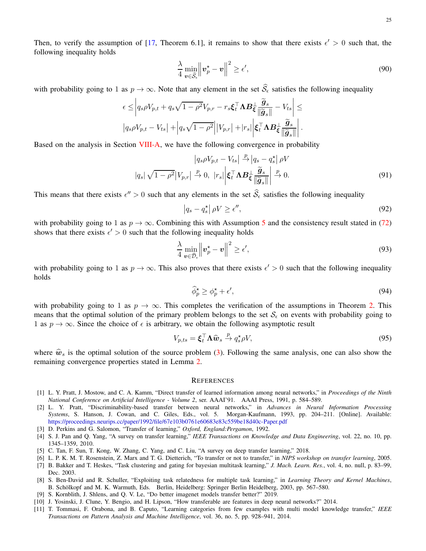Then, to verify the assumption of [\[17,](#page-25-5) Theorem 6.1], it remains to show that there exists  $\epsilon' > 0$  such that, the following inequality holds

$$
\frac{\lambda}{4} \min_{\boldsymbol{v} \in \widehat{\mathcal{S}}_{\epsilon}} \left\| \boldsymbol{v}_p^{\star} - \boldsymbol{v} \right\|^2 \ge \epsilon',\tag{90}
$$

with probability going to 1 as  $p \to \infty$ . Note that any element in the set  $\hat{S}_{\epsilon}$  satisfies the following inequality

$$
\epsilon \leq \left| q_s \rho V_{p,t} + q_s \sqrt{1 - \rho^2} V_{p,r} - r_s \xi_t^{\top} \mathbf{\Lambda} \mathbf{B}_{\xi}^{\perp} \frac{\widetilde{\mathbf{g}}_s}{\|\widetilde{\mathbf{g}}_s\|} - V_{ts} \right| \leq
$$
  

$$
\left| q_s \rho V_{p,t} - V_{ts} \right| + \left| q_s \sqrt{1 - \rho^2} \right| |V_{p,r}| + |r_s| \left| \xi_t^{\top} \mathbf{\Lambda} \mathbf{B}_{\xi}^{\perp} \frac{\widetilde{\mathbf{g}}_s}{\|\widetilde{\mathbf{g}}_s\|} \right|.
$$

Based on the analysis in Section [VIII-A,](#page-21-3) we have the following convergence in probability

$$
\left| q_s \rho V_{p,t} - V_{ts} \right| \stackrel{p}{\to} \left| q_s - q_s^{\star} \right| \rho V
$$
  

$$
\left| q_s \right| \sqrt{1 - \rho^2} \left| V_{p,r} \right| \stackrel{p}{\to} 0, \left| r_s \right| \left| \xi_t^{\top} \Lambda B \xi \frac{\tilde{g}_s}{\left\| \tilde{g}_s \right\|} \right| \stackrel{p}{\to} 0. \tag{91}
$$

This means that there exists  $\epsilon'' > 0$  such that any elements in the set  $S_{\epsilon}$  satisfies the following inequality

$$
\left|q_s - q_s^{\star}\right| \rho V \ge \epsilon'',\tag{92}
$$

with probability going to 1 as  $p \to \infty$ . Combining this with Assumption [5](#page-4-1) and the consistency result stated in [\(72\)](#page-21-1) shows that there exists  $\epsilon' > 0$  such that the following inequality holds

$$
\frac{\lambda}{4} \min_{\boldsymbol{v} \in \widehat{\mathcal{D}}_{\epsilon}} \left\| \boldsymbol{v}_p^{\star} - \boldsymbol{v} \right\|^2 \ge \epsilon',\tag{93}
$$

with probability going to 1 as  $p \to \infty$ . This also proves that there exists  $\epsilon' > 0$  such that the following inequality holds

$$
\widehat{\phi}_p^{\star} \ge \phi_p^{\star} + \epsilon',\tag{94}
$$

with probability going to 1 as  $p \to \infty$ . This completes the verification of the assumptions in Theorem [2.](#page-10-3) This means that the optimal solution of the primary problem belongs to the set  $S_\epsilon$  on events with probability going to 1 as  $p \to \infty$ . Since the choice of  $\epsilon$  is arbitrary, we obtain the following asymptotic result

$$
V_{p,ts} = \boldsymbol{\xi}_t^\top \boldsymbol{\Lambda} \hat{\boldsymbol{w}}_s \stackrel{p}{\to} q_s^\star \rho V,\tag{95}
$$

where  $\hat{w}_s$  is the optimal solution of the source problem [\(3\)](#page-1-4). Following the same analysis, one can also show the remaining convergence properties stated in Lemma [2.](#page-14-1)

#### **REFERENCES**

- <span id="page-24-0"></span>[1] L. Y. Pratt, J. Mostow, and C. A. Kamm, "Direct transfer of learned information among neural networks," in *Proceedings of the Ninth National Conference on Artificial Intelligence - Volume 2*, ser. AAAI'91. AAAI Press, 1991, p. 584–589.
- <span id="page-24-7"></span>[2] L. Y. Pratt, "Discriminability-based transfer between neural networks," in *Advances in Neural Information Processing Systems*, S. Hanson, J. Cowan, and C. Giles, Eds., vol. 5. Morgan-Kaufmann, 1993, pp. 204–211. [Online]. Available: <https://proceedings.neurips.cc/paper/1992/file/67e103b0761e60683e83c559be18d40c-Paper.pdf>
- <span id="page-24-4"></span>[3] D. Perkins and G. Salomon, "Transfer of learning," *Oxford, England:Pergamon*, 1992.
- [4] S. J. Pan and Q. Yang, "A survey on transfer learning," *IEEE Transactions on Knowledge and Data Engineering*, vol. 22, no. 10, pp. 1345–1359, 2010.
- <span id="page-24-2"></span><span id="page-24-1"></span>[5] C. Tan, F. Sun, T. Kong, W. Zhang, C. Yang, and C. Liu, "A survey on deep transfer learning," 2018.
- [6] L. P. K. M. T. Rosenstein, Z. Marx and T. G. Dietterich, "To transfer or not to transfer," in *NIPS workshop on transfer learning*, 2005.
- [7] B. Bakker and T. Heskes, "Task clustering and gating for bayesian multitask learning," *J. Mach. Learn. Res.*, vol. 4, no. null, p. 83–99, Dec. 2003.
- [8] S. Ben-David and R. Schuller, "Exploiting task relatedness for multiple task learning," in *Learning Theory and Kernel Machines*, B. Schölkopf and M. K. Warmuth, Eds. Berlin, Heidelberg: Springer Berlin Heidelberg, 2003, pp. 567–580.
- <span id="page-24-5"></span><span id="page-24-3"></span>[9] S. Kornblith, J. Shlens, and Q. V. Le, "Do better imagenet models transfer better?" 2019.
- <span id="page-24-6"></span>[10] J. Yosinski, J. Clune, Y. Bengio, and H. Lipson, "How transferable are features in deep neural networks?" 2014.
- [11] T. Tommasi, F. Orabona, and B. Caputo, "Learning categories from few examples with multi model knowledge transfer," *IEEE Transactions on Pattern Analysis and Machine Intelligence*, vol. 36, no. 5, pp. 928–941, 2014.